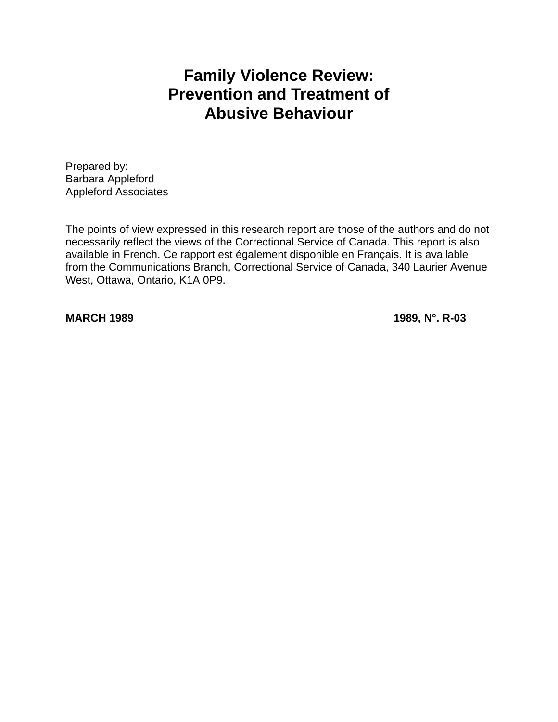# **Family Violence Review: Prevention and Treatment of Abusive Behaviour**

Prepared by: Barbara Appleford Appleford Associates

The points of view expressed in this research report are those of the authors and do not necessarily reflect the views of the Correctional Service of Canada. This report is also available in French. Ce rapport est également disponible en Français. It is available from the Communications Branch, Correctional Service of Canada, 340 Laurier Avenue West, Ottawa, Ontario, K1A 0P9.

**MARCH 1989 1989, N°. R-03**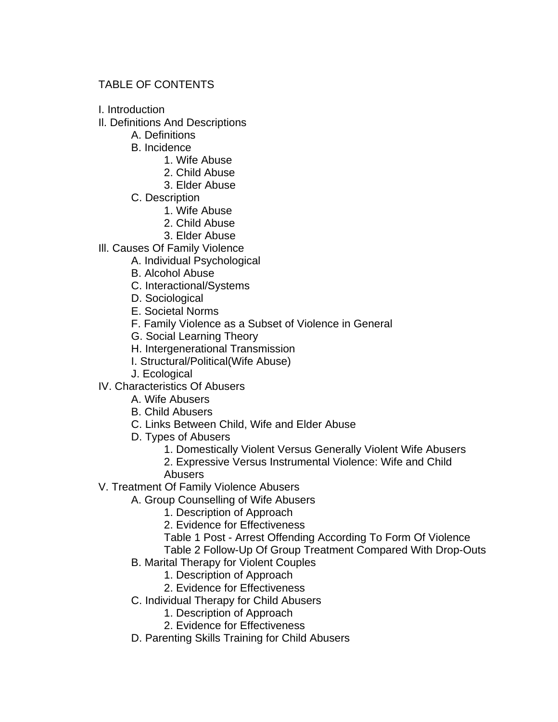# TABLE OF CONTENTS

- I. Introduction
- Il. Definitions And Descriptions
	- A. Definitions
	- B. Incidence
		- 1. Wife Abuse
		- 2. Child Abuse
		- 3. Elder Abuse
	- C. Description
		- 1. Wife Abuse
		- 2. Child Abuse
		- 3. Elder Abuse
- Ill. Causes Of Family Violence
	- A. Individual Psychological
	- B. Alcohol Abuse
	- C. Interactional/Systems
	- D. Sociological
	- E. Societal Norms
	- F. Family Violence as a Subset of Violence in General
	- G. Social Learning Theory
	- H. Intergenerational Transmission
	- I. Structural/Political(Wife Abuse)
	- J. Ecological
- IV. Characteristics Of Abusers
	- A. Wife Abusers
	- B. Child Abusers
	- C. Links Between Child, Wife and Elder Abuse
	- D. Types of Abusers
		- 1. Domestically Violent Versus Generally Violent Wife Abusers
		- 2. Expressive Versus Instrumental Violence: Wife and Child Abusers
- V. Treatment Of Family Violence Abusers
	- A. Group Counselling of Wife Abusers
		- 1. Description of Approach
		- 2. Evidence for Effectiveness
		- Table 1 Post Arrest Offending According To Form Of Violence

Table 2 Follow-Up Of Group Treatment Compared With Drop-Outs

- B. Marital Therapy for Violent Couples
	- 1. Description of Approach
	- 2. Evidence for Effectiveness
- C. Individual Therapy for Child Abusers
	- 1. Description of Approach
	- 2. Evidence for Effectiveness
- D. Parenting Skills Training for Child Abusers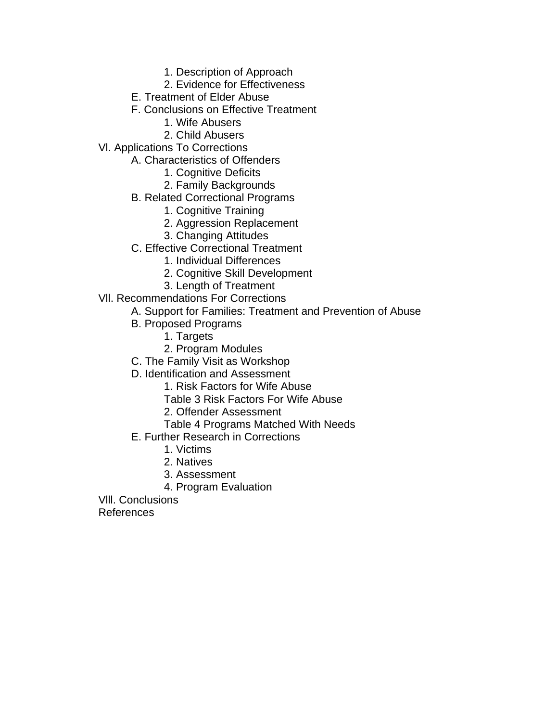- 1. Description of Approach
- 2. Evidence for Effectiveness
- E. Treatment of Elder Abuse
- F. Conclusions on Effective Treatment
	- 1. Wife Abusers
- 2. Child Abusers
- Vl. Applications To Corrections
	- A. Characteristics of Offenders
		- 1. Cognitive Deficits
		- 2. Family Backgrounds
		- B. Related Correctional Programs
			- 1. Cognitive Training
			- 2. Aggression Replacement
			- 3. Changing Attitudes
		- C. Effective Correctional Treatment
			- 1. Individual Differences
			- 2. Cognitive Skill Development
			- 3. Length of Treatment
- Vll. Recommendations For Corrections
	- A. Support for Families: Treatment and Prevention of Abuse
	- B. Proposed Programs
		- 1. Targets
		- 2. Program Modules
	- C. The Family Visit as Workshop
	- D. Identification and Assessment
		- 1. Risk Factors for Wife Abuse
		- Table 3 Risk Factors For Wife Abuse
		- 2. Offender Assessment
		- Table 4 Programs Matched With Needs
	- E. Further Research in Corrections
		- 1. Victims
		- 2. Natives
		- 3. Assessment
		- 4. Program Evaluation
- Vlll. Conclusions

References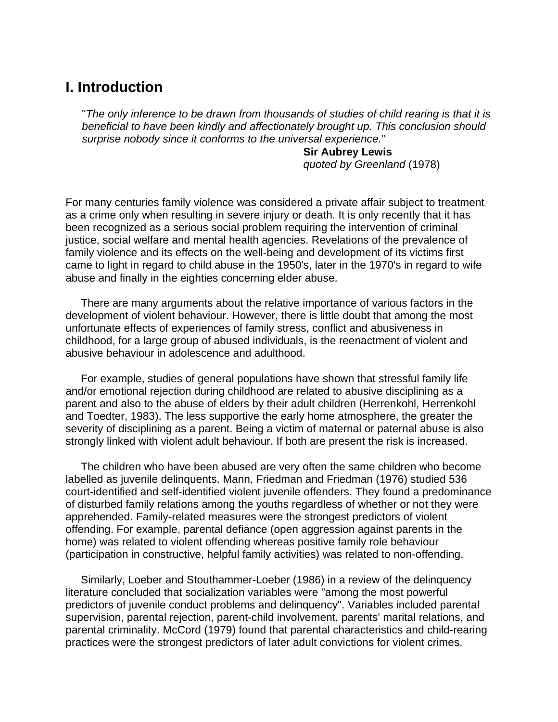# **I. Introduction**

"*The only inference to be drawn from thousands of studies of child rearing is that it is beneficial to have been kindly and affectionately brought up. This conclusion should surprise nobody since it conforms to the universal experience.*"

> **Sir Aubrey Lewis** *quoted by Greenland* (1978)

For many centuries family violence was considered a private affair subject to treatment as a crime only when resulting in severe injury or death. It is only recently that it has been recognized as a serious social problem requiring the intervention of criminal justice, social welfare and mental health agencies. Revelations of the prevalence of family violence and its effects on the well-being and development of its victims first came to light in regard to child abuse in the 1950's, later in the 1970's in regard to wife abuse and finally in the eighties concerning elder abuse.

 There are many arguments about the relative importance of various factors in the development of violent behaviour. However, there is little doubt that among the most unfortunate effects of experiences of family stress, conflict and abusiveness in childhood, for a large group of abused individuals, is the reenactment of violent and abusive behaviour in adolescence and adulthood.

 For example, studies of general populations have shown that stressful family life and/or emotional rejection during childhood are related to abusive disciplining as a parent and also to the abuse of elders by their adult children (Herrenkohl, Herrenkohl and Toedter, 1983). The less supportive the early home atmosphere, the greater the severity of disciplining as a parent. Being a victim of maternal or paternal abuse is also strongly linked with violent adult behaviour. If both are present the risk is increased.

 The children who have been abused are very often the same children who become labelled as juvenile delinquents. Mann, Friedman and Friedman (1976) studied 536 court-identified and self-identified violent juvenile offenders. They found a predominance of disturbed family relations among the youths regardless of whether or not they were apprehended. Family-related measures were the strongest predictors of violent offending. For example, parental defiance (open aggression against parents in the home) was related to violent offending whereas positive family role behaviour (participation in constructive, helpful family activities) was related to non-offending.

 Similarly, Loeber and Stouthammer-Loeber (1986) in a review of the delinquency literature concluded that socialization variables were "among the most powerful predictors of juvenile conduct problems and delinquency". Variables included parental supervision, parental rejection, parent-child involvement, parents' marital relations, and parental criminality. McCord (1979) found that parental characteristics and child-rearing practices were the strongest predictors of later adult convictions for violent crimes.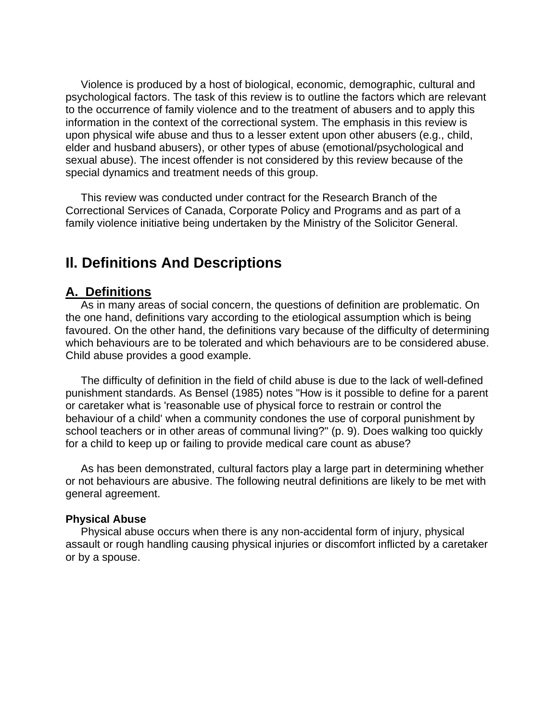Violence is produced by a host of biological, economic, demographic, cultural and psychological factors. The task of this review is to outline the factors which are relevant to the occurrence of family violence and to the treatment of abusers and to apply this information in the context of the correctional system. The emphasis in this review is upon physical wife abuse and thus to a lesser extent upon other abusers (e.g., child, elder and husband abusers), or other types of abuse (emotional/psychological and sexual abuse). The incest offender is not considered by this review because of the special dynamics and treatment needs of this group.

 This review was conducted under contract for the Research Branch of the Correctional Services of Canada, Corporate Policy and Programs and as part of a family violence initiative being undertaken by the Ministry of the Solicitor General.

# **Il. Definitions And Descriptions**

# **A. Definitions**

 As in many areas of social concern, the questions of definition are problematic. On the one hand, definitions vary according to the etiological assumption which is being favoured. On the other hand, the definitions vary because of the difficulty of determining which behaviours are to be tolerated and which behaviours are to be considered abuse. Child abuse provides a good example.

 The difficulty of definition in the field of child abuse is due to the lack of well-defined punishment standards. As Bensel (1985) notes "How is it possible to define for a parent or caretaker what is 'reasonable use of physical force to restrain or control the behaviour of a child' when a community condones the use of corporal punishment by school teachers or in other areas of communal living?" (p. 9). Does walking too quickly for a child to keep up or failing to provide medical care count as abuse?

 As has been demonstrated, cultural factors play a large part in determining whether or not behaviours are abusive. The following neutral definitions are likely to be met with general agreement.

#### **Physical Abuse**

 Physical abuse occurs when there is any non-accidental form of injury, physical assault or rough handling causing physical injuries or discomfort inflicted by a caretaker or by a spouse.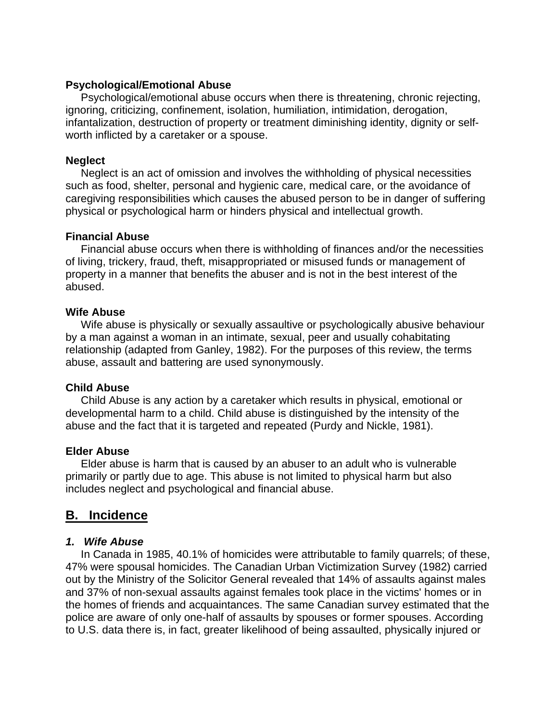### **Psychological/Emotional Abuse**

 Psychological/emotional abuse occurs when there is threatening, chronic rejecting, ignoring, criticizing, confinement, isolation, humiliation, intimidation, derogation, infantalization, destruction of property or treatment diminishing identity, dignity or selfworth inflicted by a caretaker or a spouse.

### **Neglect**

 Neglect is an act of omission and involves the withholding of physical necessities such as food, shelter, personal and hygienic care, medical care, or the avoidance of caregiving responsibilities which causes the abused person to be in danger of suffering physical or psychological harm or hinders physical and intellectual growth.

### **Financial Abuse**

 Financial abuse occurs when there is withholding of finances and/or the necessities of living, trickery, fraud, theft, misappropriated or misused funds or management of property in a manner that benefits the abuser and is not in the best interest of the abused.

### **Wife Abuse**

 Wife abuse is physically or sexually assaultive or psychologically abusive behaviour by a man against a woman in an intimate, sexual, peer and usually cohabitating relationship (adapted from Ganley, 1982). For the purposes of this review, the terms abuse, assault and battering are used synonymously.

#### **Child Abuse**

 Child Abuse is any action by a caretaker which results in physical, emotional or developmental harm to a child. Child abuse is distinguished by the intensity of the abuse and the fact that it is targeted and repeated (Purdy and Nickle, 1981).

## **Elder Abuse**

 Elder abuse is harm that is caused by an abuser to an adult who is vulnerable primarily or partly due to age. This abuse is not limited to physical harm but also includes neglect and psychological and financial abuse.

# **B. Incidence**

## *1. Wife Abuse*

 In Canada in 1985, 40.1% of homicides were attributable to family quarrels; of these, 47% were spousal homicides. The Canadian Urban Victimization Survey (1982) carried out by the Ministry of the Solicitor General revealed that 14% of assaults against males and 37% of non-sexual assaults against females took place in the victims' homes or in the homes of friends and acquaintances. The same Canadian survey estimated that the police are aware of only one-half of assaults by spouses or former spouses. According to U.S. data there is, in fact, greater likelihood of being assaulted, physically injured or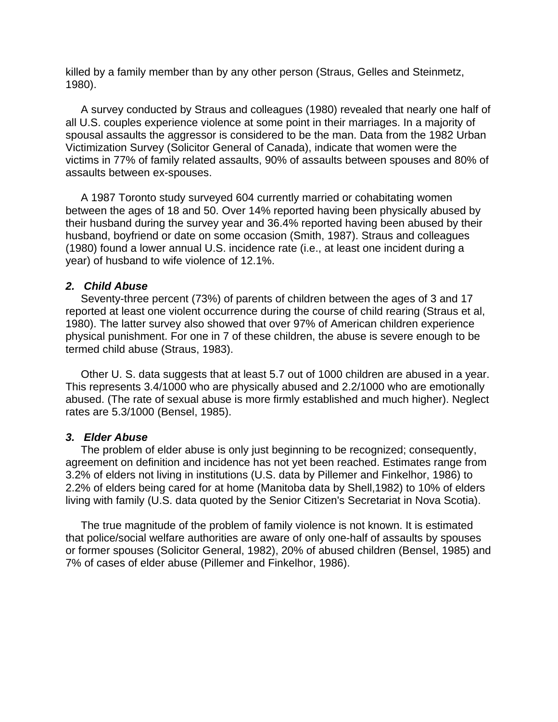killed by a family member than by any other person (Straus, Gelles and Steinmetz, 1980).

 A survey conducted by Straus and colleagues (1980) revealed that nearly one half of all U.S. couples experience violence at some point in their marriages. In a majority of spousal assaults the aggressor is considered to be the man. Data from the 1982 Urban Victimization Survey (Solicitor General of Canada), indicate that women were the victims in 77% of family related assaults, 90% of assaults between spouses and 80% of assaults between ex-spouses.

 A 1987 Toronto study surveyed 604 currently married or cohabitating women between the ages of 18 and 50. Over 14% reported having been physically abused by their husband during the survey year and 36.4% reported having been abused by their husband, boyfriend or date on some occasion (Smith, 1987). Straus and colleagues (1980) found a lower annual U.S. incidence rate (i.e., at least one incident during a year) of husband to wife violence of 12.1%.

#### *2. Child Abuse*

 Seventy-three percent (73%) of parents of children between the ages of 3 and 17 reported at least one violent occurrence during the course of child rearing (Straus et al, 1980). The latter survey also showed that over 97% of American children experience physical punishment. For one in 7 of these children, the abuse is severe enough to be termed child abuse (Straus, 1983).

 Other U. S. data suggests that at least 5.7 out of 1000 children are abused in a year. This represents 3.4/1000 who are physically abused and 2.2/1000 who are emotionally abused. (The rate of sexual abuse is more firmly established and much higher). Neglect rates are 5.3/1000 (Bensel, 1985).

#### *3. Elder Abuse*

 The problem of elder abuse is only just beginning to be recognized; consequently, agreement on definition and incidence has not yet been reached. Estimates range from 3.2% of elders not living in institutions (U.S. data by Pillemer and Finkelhor, 1986) to 2.2% of elders being cared for at home (Manitoba data by Shell,1982) to 10% of elders living with family (U.S. data quoted by the Senior Citizen's Secretariat in Nova Scotia).

 The true magnitude of the problem of family violence is not known. It is estimated that police/social welfare authorities are aware of only one-half of assaults by spouses or former spouses (Solicitor General, 1982), 20% of abused children (Bensel, 1985) and 7% of cases of elder abuse (Pillemer and Finkelhor, 1986).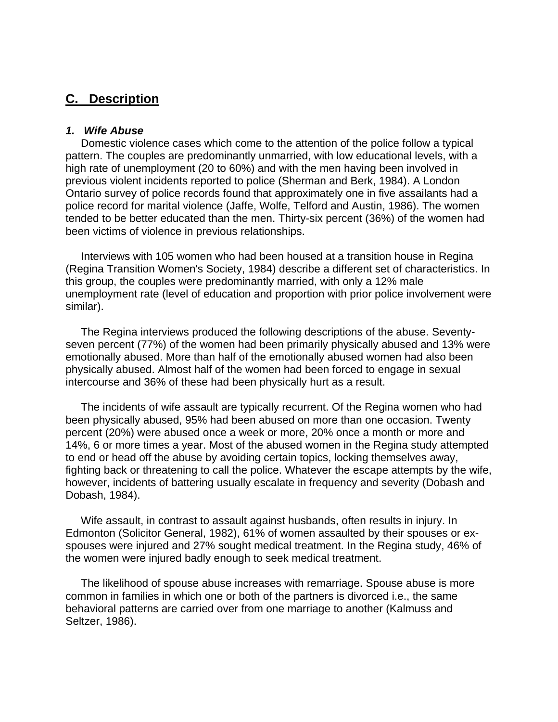# **C. Description**

#### *1. Wife Abuse*

 Domestic violence cases which come to the attention of the police follow a typical pattern. The couples are predominantly unmarried, with low educational levels, with a high rate of unemployment (20 to 60%) and with the men having been involved in previous violent incidents reported to police (Sherman and Berk, 1984). A London Ontario survey of police records found that approximately one in five assailants had a police record for marital violence (Jaffe, Wolfe, Telford and Austin, 1986). The women tended to be better educated than the men. Thirty-six percent (36%) of the women had been victims of violence in previous relationships.

 Interviews with 105 women who had been housed at a transition house in Regina (Regina Transition Women's Society, 1984) describe a different set of characteristics. In this group, the couples were predominantly married, with only a 12% male unemployment rate (level of education and proportion with prior police involvement were similar).

 The Regina interviews produced the following descriptions of the abuse. Seventyseven percent (77%) of the women had been primarily physically abused and 13% were emotionally abused. More than half of the emotionally abused women had also been physically abused. Almost half of the women had been forced to engage in sexual intercourse and 36% of these had been physically hurt as a result.

 The incidents of wife assault are typically recurrent. Of the Regina women who had been physically abused, 95% had been abused on more than one occasion. Twenty percent (20%) were abused once a week or more, 20% once a month or more and 14%, 6 or more times a year. Most of the abused women in the Regina study attempted to end or head off the abuse by avoiding certain topics, locking themselves away, fighting back or threatening to call the police. Whatever the escape attempts by the wife, however, incidents of battering usually escalate in frequency and severity (Dobash and Dobash, 1984).

 Wife assault, in contrast to assault against husbands, often results in injury. In Edmonton (Solicitor General, 1982), 61% of women assaulted by their spouses or exspouses were injured and 27% sought medical treatment. In the Regina study, 46% of the women were injured badly enough to seek medical treatment.

 The likelihood of spouse abuse increases with remarriage. Spouse abuse is more common in families in which one or both of the partners is divorced i.e., the same behavioral patterns are carried over from one marriage to another (Kalmuss and Seltzer, 1986).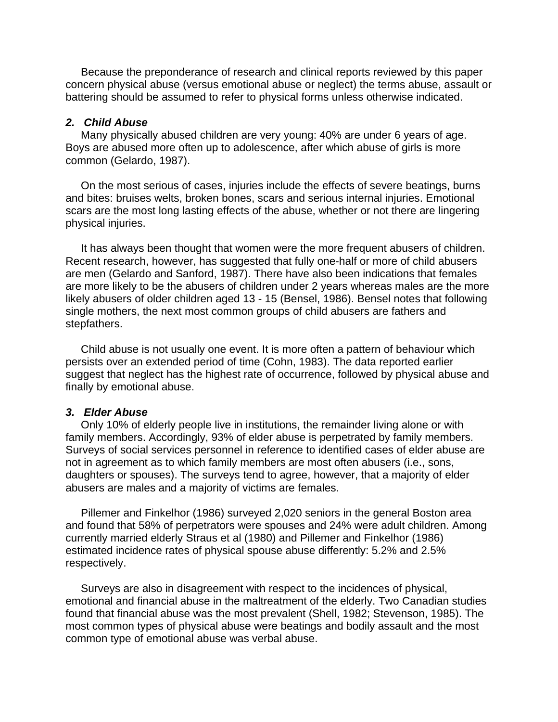Because the preponderance of research and clinical reports reviewed by this paper concern physical abuse (versus emotional abuse or neglect) the terms abuse, assault or battering should be assumed to refer to physical forms unless otherwise indicated.

#### *2. Child Abuse*

 Many physically abused children are very young: 40% are under 6 years of age. Boys are abused more often up to adolescence, after which abuse of girls is more common (Gelardo, 1987).

 On the most serious of cases, injuries include the effects of severe beatings, burns and bites: bruises welts, broken bones, scars and serious internal injuries. Emotional scars are the most long lasting effects of the abuse, whether or not there are lingering physical injuries.

 It has always been thought that women were the more frequent abusers of children. Recent research, however, has suggested that fully one-half or more of child abusers are men (Gelardo and Sanford, 1987). There have also been indications that females are more likely to be the abusers of children under 2 years whereas males are the more likely abusers of older children aged 13 - 15 (Bensel, 1986). Bensel notes that following single mothers, the next most common groups of child abusers are fathers and stepfathers.

 Child abuse is not usually one event. It is more often a pattern of behaviour which persists over an extended period of time (Cohn, 1983). The data reported earlier suggest that neglect has the highest rate of occurrence, followed by physical abuse and finally by emotional abuse.

#### *3. Elder Abuse*

 Only 10% of elderly people live in institutions, the remainder living alone or with family members. Accordingly, 93% of elder abuse is perpetrated by family members. Surveys of social services personnel in reference to identified cases of elder abuse are not in agreement as to which family members are most often abusers (i.e., sons, daughters or spouses). The surveys tend to agree, however, that a majority of elder abusers are males and a majority of victims are females.

 Pillemer and Finkelhor (1986) surveyed 2,020 seniors in the general Boston area and found that 58% of perpetrators were spouses and 24% were adult children. Among currently married elderly Straus et al (1980) and Pillemer and Finkelhor (1986) estimated incidence rates of physical spouse abuse differently: 5.2% and 2.5% respectively.

 Surveys are also in disagreement with respect to the incidences of physical, emotional and financial abuse in the maltreatment of the elderly. Two Canadian studies found that financial abuse was the most prevalent (Shell, 1982; Stevenson, 1985). The most common types of physical abuse were beatings and bodily assault and the most common type of emotional abuse was verbal abuse.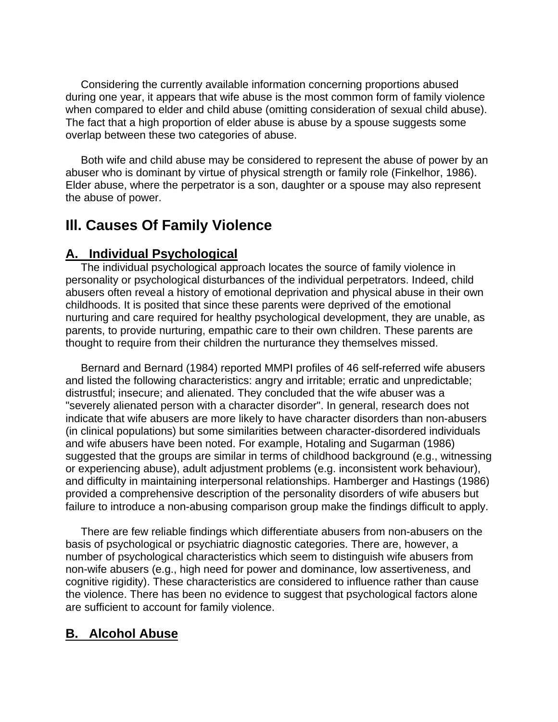Considering the currently available information concerning proportions abused during one year, it appears that wife abuse is the most common form of family violence when compared to elder and child abuse (omitting consideration of sexual child abuse). The fact that a high proportion of elder abuse is abuse by a spouse suggests some overlap between these two categories of abuse.

 Both wife and child abuse may be considered to represent the abuse of power by an abuser who is dominant by virtue of physical strength or family role (Finkelhor, 1986). Elder abuse, where the perpetrator is a son, daughter or a spouse may also represent the abuse of power.

# **Ill. Causes Of Family Violence**

# **A. Individual Psychological**

 The individual psychological approach locates the source of family violence in personality or psychological disturbances of the individual perpetrators. Indeed, child abusers often reveal a history of emotional deprivation and physical abuse in their own childhoods. It is posited that since these parents were deprived of the emotional nurturing and care required for healthy psychological development, they are unable, as parents, to provide nurturing, empathic care to their own children. These parents are thought to require from their children the nurturance they themselves missed.

 Bernard and Bernard (1984) reported MMPI profiles of 46 self-referred wife abusers and listed the following characteristics: angry and irritable; erratic and unpredictable; distrustful; insecure; and alienated. They concluded that the wife abuser was a "severely alienated person with a character disorder". In general, research does not indicate that wife abusers are more likely to have character disorders than non-abusers (in clinical populations) but some similarities between character-disordered individuals and wife abusers have been noted. For example, Hotaling and Sugarman (1986) suggested that the groups are similar in terms of childhood background (e.g., witnessing or experiencing abuse), adult adjustment problems (e.g. inconsistent work behaviour), and difficulty in maintaining interpersonal relationships. Hamberger and Hastings (1986) provided a comprehensive description of the personality disorders of wife abusers but failure to introduce a non-abusing comparison group make the findings difficult to apply.

 There are few reliable findings which differentiate abusers from non-abusers on the basis of psychological or psychiatric diagnostic categories. There are, however, a number of psychological characteristics which seem to distinguish wife abusers from non-wife abusers (e.g., high need for power and dominance, low assertiveness, and cognitive rigidity). These characteristics are considered to influence rather than cause the violence. There has been no evidence to suggest that psychological factors alone are sufficient to account for family violence.

# **B. Alcohol Abuse**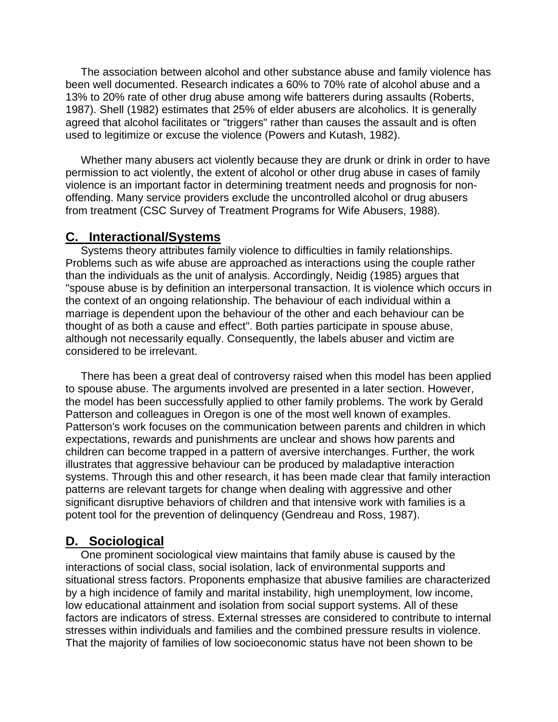The association between alcohol and other substance abuse and family violence has been well documented. Research indicates a 60% to 70% rate of alcohol abuse and a 13% to 20% rate of other drug abuse among wife batterers during assaults (Roberts, 1987). Shell (1982) estimates that 25% of elder abusers are alcoholics. It is generally agreed that alcohol facilitates or "triggers" rather than causes the assault and is often used to legitimize or excuse the violence (Powers and Kutash, 1982).

 Whether many abusers act violently because they are drunk or drink in order to have permission to act violently, the extent of alcohol or other drug abuse in cases of family violence is an important factor in determining treatment needs and prognosis for nonoffending. Many service providers exclude the uncontrolled alcohol or drug abusers from treatment (CSC Survey of Treatment Programs for Wife Abusers, 1988).

## **C. Interactional/Systems**

 Systems theory attributes family violence to difficulties in family relationships. Problems such as wife abuse are approached as interactions using the couple rather than the individuals as the unit of analysis. Accordingly, Neidig (1985) argues that "spouse abuse is by definition an interpersonal transaction. It is violence which occurs in the context of an ongoing relationship. The behaviour of each individual within a marriage is dependent upon the behaviour of the other and each behaviour can be thought of as both a cause and effect". Both parties participate in spouse abuse, although not necessarily equally. Consequently, the labels abuser and victim are considered to be irrelevant.

 There has been a great deal of controversy raised when this model has been applied to spouse abuse. The arguments involved are presented in a later section. However, the model has been successfully applied to other family problems. The work by Gerald Patterson and colleagues in Oregon is one of the most well known of examples. Patterson's work focuses on the communication between parents and children in which expectations, rewards and punishments are unclear and shows how parents and children can become trapped in a pattern of aversive interchanges. Further, the work illustrates that aggressive behaviour can be produced by maladaptive interaction systems. Through this and other research, it has been made clear that family interaction patterns are relevant targets for change when dealing with aggressive and other significant disruptive behaviors of children and that intensive work with families is a potent tool for the prevention of delinquency (Gendreau and Ross, 1987).

# **D. Sociological**

 One prominent sociological view maintains that family abuse is caused by the interactions of social class, social isolation, lack of environmental supports and situational stress factors. Proponents emphasize that abusive families are characterized by a high incidence of family and marital instability, high unemployment, low income, low educational attainment and isolation from social support systems. All of these factors are indicators of stress. External stresses are considered to contribute to internal stresses within individuals and families and the combined pressure results in violence. That the majority of families of low socioeconomic status have not been shown to be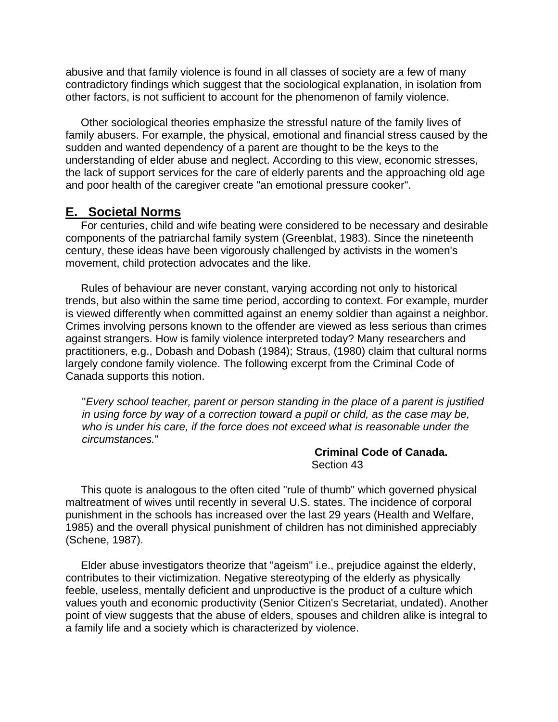abusive and that family violence is found in all classes of society are a few of many contradictory findings which suggest that the sociological explanation, in isolation from other factors, is not sufficient to account for the phenomenon of family violence.

 Other sociological theories emphasize the stressful nature of the family lives of family abusers. For example, the physical, emotional and financial stress caused by the sudden and wanted dependency of a parent are thought to be the keys to the understanding of elder abuse and neglect. According to this view, economic stresses, the lack of support services for the care of elderly parents and the approaching old age and poor health of the caregiver create "an emotional pressure cooker".

# **E. Societal Norms**

 For centuries, child and wife beating were considered to be necessary and desirable components of the patriarchal family system (Greenblat, 1983). Since the nineteenth century, these ideas have been vigorously challenged by activists in the women's movement, child protection advocates and the like.

 Rules of behaviour are never constant, varying according not only to historical trends, but also within the same time period, according to context. For example, murder is viewed differently when committed against an enemy soldier than against a neighbor. Crimes involving persons known to the offender are viewed as less serious than crimes against strangers. How is family violence interpreted today? Many researchers and practitioners, e.g., Dobash and Dobash (1984); Straus, (1980) claim that cultural norms largely condone family violence. The following excerpt from the Criminal Code of Canada supports this notion.

"*Every school teacher, parent or person standing in the place of a parent is justified in using force by way of a correction toward a pupil or child, as the case may be, who is under his care, if the force does not exceed what is reasonable under the circumstances.*"

> **Criminal Code of Canada.** Section 43

 This quote is analogous to the often cited "rule of thumb" which governed physical maltreatment of wives until recently in several U.S. states. The incidence of corporal punishment in the schools has increased over the last 29 years (Health and Welfare, 1985) and the overall physical punishment of children has not diminished appreciably (Schene, 1987).

 Elder abuse investigators theorize that "ageism" i.e., prejudice against the elderly, contributes to their victimization. Negative stereotyping of the elderly as physically feeble, useless, mentally deficient and unproductive is the product of a culture which values youth and economic productivity (Senior Citizen's Secretariat, undated). Another point of view suggests that the abuse of elders, spouses and children alike is integral to a family life and a society which is characterized by violence.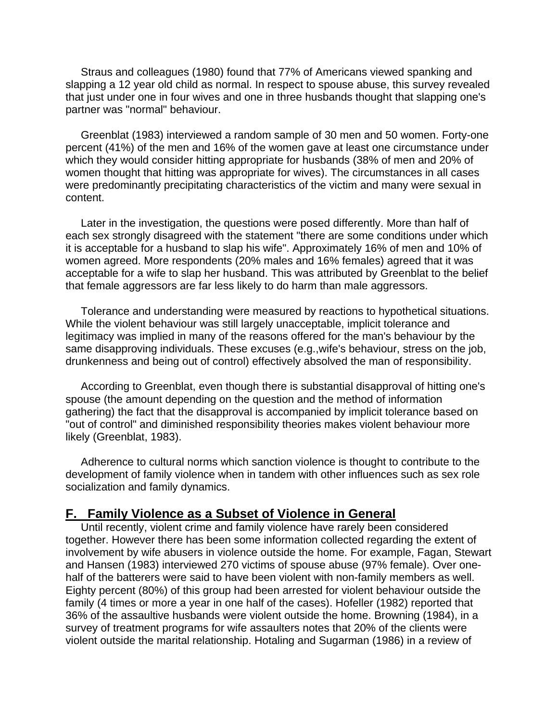Straus and colleagues (1980) found that 77% of Americans viewed spanking and slapping a 12 year old child as normal. In respect to spouse abuse, this survey revealed that just under one in four wives and one in three husbands thought that slapping one's partner was "normal" behaviour.

 Greenblat (1983) interviewed a random sample of 30 men and 50 women. Forty-one percent (41%) of the men and 16% of the women gave at least one circumstance under which they would consider hitting appropriate for husbands (38% of men and 20% of women thought that hitting was appropriate for wives). The circumstances in all cases were predominantly precipitating characteristics of the victim and many were sexual in content.

 Later in the investigation, the questions were posed differently. More than half of each sex strongly disagreed with the statement "there are some conditions under which it is acceptable for a husband to slap his wife". Approximately 16% of men and 10% of women agreed. More respondents (20% males and 16% females) agreed that it was acceptable for a wife to slap her husband. This was attributed by Greenblat to the belief that female aggressors are far less likely to do harm than male aggressors.

 Tolerance and understanding were measured by reactions to hypothetical situations. While the violent behaviour was still largely unacceptable, implicit tolerance and legitimacy was implied in many of the reasons offered for the man's behaviour by the same disapproving individuals. These excuses (e.g.,wife's behaviour, stress on the job, drunkenness and being out of control) effectively absolved the man of responsibility.

 According to Greenblat, even though there is substantial disapproval of hitting one's spouse (the amount depending on the question and the method of information gathering) the fact that the disapproval is accompanied by implicit tolerance based on "out of control" and diminished responsibility theories makes violent behaviour more likely (Greenblat, 1983).

 Adherence to cultural norms which sanction violence is thought to contribute to the development of family violence when in tandem with other influences such as sex role socialization and family dynamics.

#### **F. Family Violence as a Subset of Violence in General**

 Until recently, violent crime and family violence have rarely been considered together. However there has been some information collected regarding the extent of involvement by wife abusers in violence outside the home. For example, Fagan, Stewart and Hansen (1983) interviewed 270 victims of spouse abuse (97% female). Over onehalf of the batterers were said to have been violent with non-family members as well. Eighty percent (80%) of this group had been arrested for violent behaviour outside the family (4 times or more a year in one half of the cases). Hofeller (1982) reported that 36% of the assaultive husbands were violent outside the home. Browning (1984), in a survey of treatment programs for wife assaulters notes that 20% of the clients were violent outside the marital relationship. Hotaling and Sugarman (1986) in a review of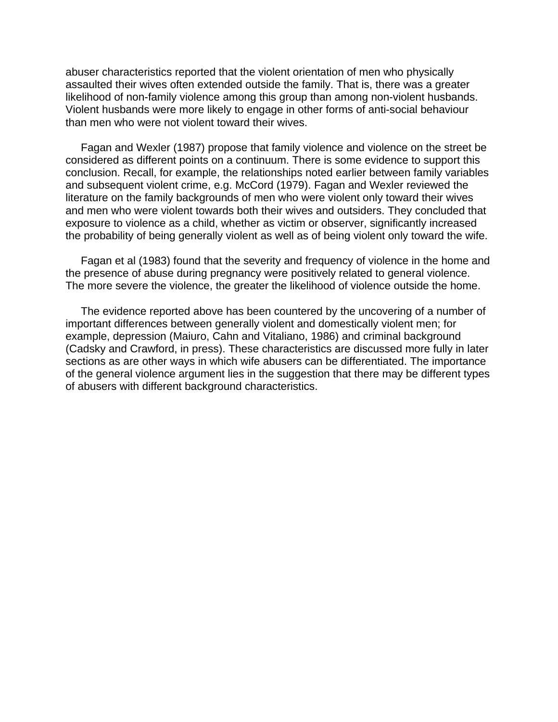abuser characteristics reported that the violent orientation of men who physically assaulted their wives often extended outside the family. That is, there was a greater likelihood of non-family violence among this group than among non-violent husbands. Violent husbands were more likely to engage in other forms of anti-social behaviour than men who were not violent toward their wives.

 Fagan and Wexler (1987) propose that family violence and violence on the street be considered as different points on a continuum. There is some evidence to support this conclusion. Recall, for example, the relationships noted earlier between family variables and subsequent violent crime, e.g. McCord (1979). Fagan and Wexler reviewed the literature on the family backgrounds of men who were violent only toward their wives and men who were violent towards both their wives and outsiders. They concluded that exposure to violence as a child, whether as victim or observer, significantly increased the probability of being generally violent as well as of being violent only toward the wife.

 Fagan et al (1983) found that the severity and frequency of violence in the home and the presence of abuse during pregnancy were positively related to general violence. The more severe the violence, the greater the likelihood of violence outside the home.

 The evidence reported above has been countered by the uncovering of a number of important differences between generally violent and domestically violent men; for example, depression (Maiuro, Cahn and Vitaliano, 1986) and criminal background (Cadsky and Crawford, in press). These characteristics are discussed more fully in later sections as are other ways in which wife abusers can be differentiated. The importance of the general violence argument lies in the suggestion that there may be different types of abusers with different background characteristics.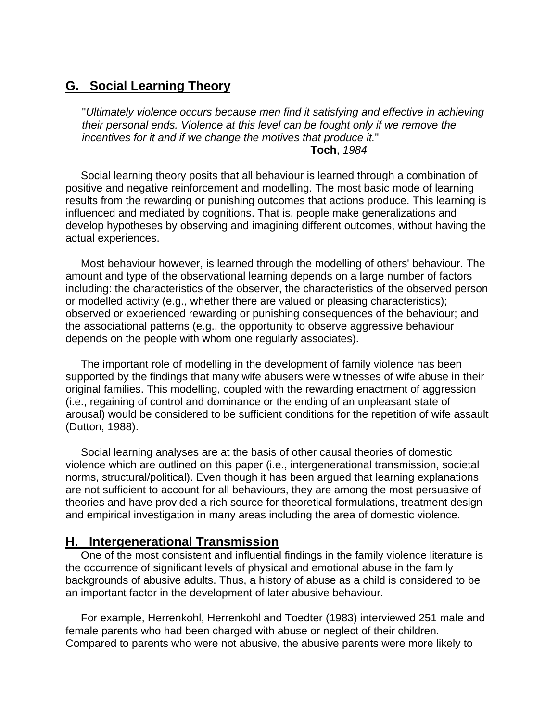# **G. Social Learning Theory**

"*Ultimately violence occurs because men find it satisfying and effective in achieving their personal ends. Violence at this level can be fought only if we remove the incentives for it and if we change the motives that produce it.*" **Toch**, *1984* 

 Social learning theory posits that all behaviour is learned through a combination of positive and negative reinforcement and modelling. The most basic mode of learning results from the rewarding or punishing outcomes that actions produce. This learning is influenced and mediated by cognitions. That is, people make generalizations and develop hypotheses by observing and imagining different outcomes, without having the actual experiences.

 Most behaviour however, is learned through the modelling of others' behaviour. The amount and type of the observational learning depends on a large number of factors including: the characteristics of the observer, the characteristics of the observed person or modelled activity (e.g., whether there are valued or pleasing characteristics); observed or experienced rewarding or punishing consequences of the behaviour; and the associational patterns (e.g., the opportunity to observe aggressive behaviour depends on the people with whom one regularly associates).

 The important role of modelling in the development of family violence has been supported by the findings that many wife abusers were witnesses of wife abuse in their original families. This modelling, coupled with the rewarding enactment of aggression (i.e., regaining of control and dominance or the ending of an unpleasant state of arousal) would be considered to be sufficient conditions for the repetition of wife assault (Dutton, 1988).

 Social learning analyses are at the basis of other causal theories of domestic violence which are outlined on this paper (i.e., intergenerational transmission, societal norms, structural/political). Even though it has been argued that learning explanations are not sufficient to account for all behaviours, they are among the most persuasive of theories and have provided a rich source for theoretical formulations, treatment design and empirical investigation in many areas including the area of domestic violence.

## **H. Intergenerational Transmission**

 One of the most consistent and influential findings in the family violence literature is the occurrence of significant levels of physical and emotional abuse in the family backgrounds of abusive adults. Thus, a history of abuse as a child is considered to be an important factor in the development of later abusive behaviour.

 For example, Herrenkohl, Herrenkohl and Toedter (1983) interviewed 251 male and female parents who had been charged with abuse or neglect of their children. Compared to parents who were not abusive, the abusive parents were more likely to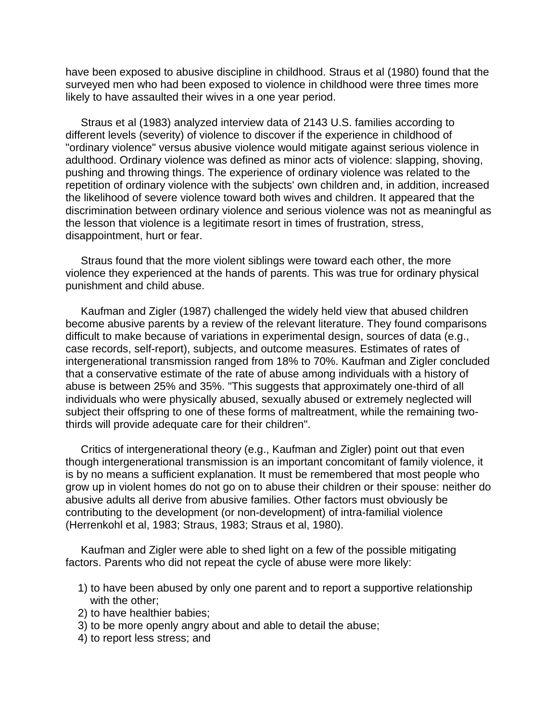have been exposed to abusive discipline in childhood. Straus et al (1980) found that the surveyed men who had been exposed to violence in childhood were three times more likely to have assaulted their wives in a one year period.

 Straus et al (1983) analyzed interview data of 2143 U.S. families according to different levels (severity) of violence to discover if the experience in childhood of "ordinary violence" versus abusive violence would mitigate against serious violence in adulthood. Ordinary violence was defined as minor acts of violence: slapping, shoving, pushing and throwing things. The experience of ordinary violence was related to the repetition of ordinary violence with the subjects' own children and, in addition, increased the likelihood of severe violence toward both wives and children. It appeared that the discrimination between ordinary violence and serious violence was not as meaningful as the lesson that violence is a legitimate resort in times of frustration, stress, disappointment, hurt or fear.

 Straus found that the more violent siblings were toward each other, the more violence they experienced at the hands of parents. This was true for ordinary physical punishment and child abuse.

 Kaufman and Zigler (1987) challenged the widely held view that abused children become abusive parents by a review of the relevant literature. They found comparisons difficult to make because of variations in experimental design, sources of data (e.g., case records, self-report), subjects, and outcome measures. Estimates of rates of intergenerational transmission ranged from 18% to 70%. Kaufman and Zigler concluded that a conservative estimate of the rate of abuse among individuals with a history of abuse is between 25% and 35%. "This suggests that approximately one-third of all individuals who were physically abused, sexually abused or extremely neglected will subject their offspring to one of these forms of maltreatment, while the remaining twothirds will provide adequate care for their children".

 Critics of intergenerational theory (e.g., Kaufman and Zigler) point out that even though intergenerational transmission is an important concomitant of family violence, it is by no means a sufficient explanation. It must be remembered that most people who grow up in violent homes do not go on to abuse their children or their spouse: neither do abusive adults all derive from abusive families. Other factors must obviously be contributing to the development (or non-development) of intra-familial violence (Herrenkohl et al, 1983; Straus, 1983; Straus et al, 1980).

 Kaufman and Zigler were able to shed light on a few of the possible mitigating factors. Parents who did not repeat the cycle of abuse were more likely:

- 1) to have been abused by only one parent and to report a supportive relationship with the other;
- 2) to have healthier babies;
- 3) to be more openly angry about and able to detail the abuse;
- 4) to report less stress; and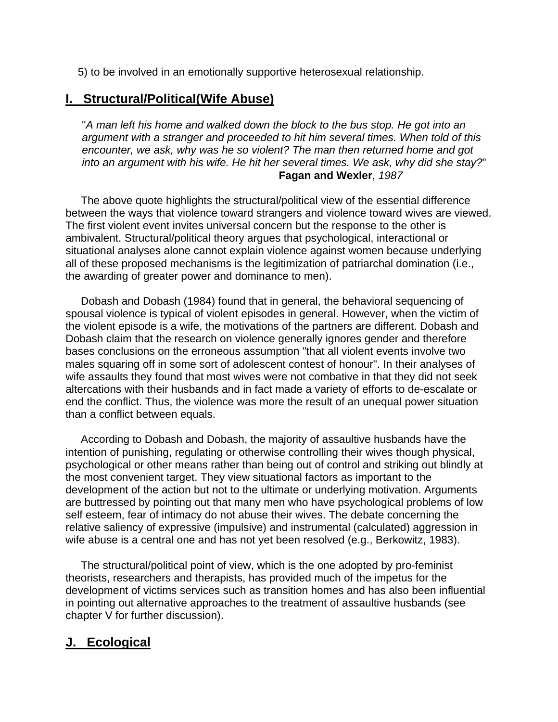5) to be involved in an emotionally supportive heterosexual relationship.

# **I. Structural/Political(Wife Abuse)**

"*A man left his home and walked down the block to the bus stop. He got into an argument with a stranger and proceeded to hit him several times. When told of this encounter, we ask, why was he so violent? The man then returned home and got into an argument with his wife. He hit her several times. We ask, why did she stay?*" **Fagan and Wexler**, *1987* 

 The above quote highlights the structural/political view of the essential difference between the ways that violence toward strangers and violence toward wives are viewed. The first violent event invites universal concern but the response to the other is ambivalent. Structural/political theory argues that psychological, interactional or situational analyses alone cannot explain violence against women because underlying all of these proposed mechanisms is the legitimization of patriarchal domination (i.e., the awarding of greater power and dominance to men).

 Dobash and Dobash (1984) found that in general, the behavioral sequencing of spousal violence is typical of violent episodes in general. However, when the victim of the violent episode is a wife, the motivations of the partners are different. Dobash and Dobash claim that the research on violence generally ignores gender and therefore bases conclusions on the erroneous assumption "that all violent events involve two males squaring off in some sort of adolescent contest of honour". In their analyses of wife assaults they found that most wives were not combative in that they did not seek altercations with their husbands and in fact made a variety of efforts to de-escalate or end the conflict. Thus, the violence was more the result of an unequal power situation than a conflict between equals.

 According to Dobash and Dobash, the majority of assaultive husbands have the intention of punishing, regulating or otherwise controlling their wives though physical, psychological or other means rather than being out of control and striking out blindly at the most convenient target. They view situational factors as important to the development of the action but not to the ultimate or underlying motivation. Arguments are buttressed by pointing out that many men who have psychological problems of low self esteem, fear of intimacy do not abuse their wives. The debate concerning the relative saliency of expressive (impulsive) and instrumental (calculated) aggression in wife abuse is a central one and has not yet been resolved (e.g., Berkowitz, 1983).

 The structural/political point of view, which is the one adopted by pro-feminist theorists, researchers and therapists, has provided much of the impetus for the development of victims services such as transition homes and has also been influential in pointing out alternative approaches to the treatment of assaultive husbands (see chapter V for further discussion).

# **J. Ecological**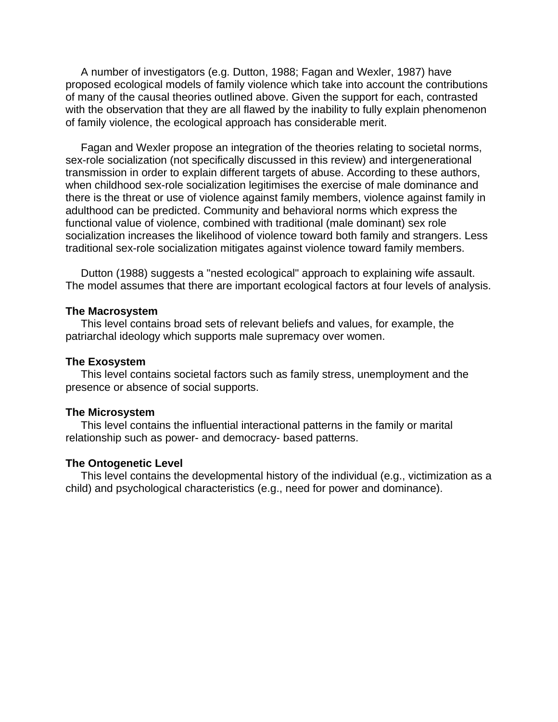A number of investigators (e.g. Dutton, 1988; Fagan and Wexler, 1987) have proposed ecological models of family violence which take into account the contributions of many of the causal theories outlined above. Given the support for each, contrasted with the observation that they are all flawed by the inability to fully explain phenomenon of family violence, the ecological approach has considerable merit.

 Fagan and Wexler propose an integration of the theories relating to societal norms, sex-role socialization (not specifically discussed in this review) and intergenerational transmission in order to explain different targets of abuse. According to these authors, when childhood sex-role socialization legitimises the exercise of male dominance and there is the threat or use of violence against family members, violence against family in adulthood can be predicted. Community and behavioral norms which express the functional value of violence, combined with traditional (male dominant) sex role socialization increases the likelihood of violence toward both family and strangers. Less traditional sex-role socialization mitigates against violence toward family members.

 Dutton (1988) suggests a "nested ecological" approach to explaining wife assault. The model assumes that there are important ecological factors at four levels of analysis.

#### **The Macrosystem**

 This level contains broad sets of relevant beliefs and values, for example, the patriarchal ideology which supports male supremacy over women.

#### **The Exosystem**

 This level contains societal factors such as family stress, unemployment and the presence or absence of social supports.

#### **The Microsystem**

 This level contains the influential interactional patterns in the family or marital relationship such as power- and democracy- based patterns.

#### **The Ontogenetic Level**

 This level contains the developmental history of the individual (e.g., victimization as a child) and psychological characteristics (e.g., need for power and dominance).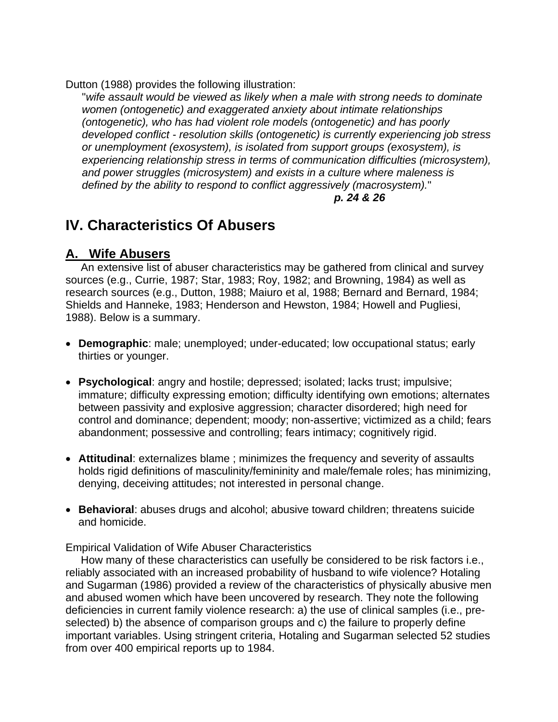Dutton (1988) provides the following illustration:

"*wife assault would be viewed as likely when a male with strong needs to dominate women (ontogenetic) and exaggerated anxiety about intimate relationships (ontogenetic), who has had violent role models (ontogenetic) and has poorly developed conflict - resolution skills (ontogenetic) is currently experiencing job stress or unemployment (exosystem), is isolated from support groups (exosystem), is experiencing relationship stress in terms of communication difficulties (microsystem), and power struggles (microsystem) and exists in a culture where maleness is defined by the ability to respond to conflict aggressively (macrosystem).*"

## *p. 24 & 26*

# **IV. Characteristics Of Abusers**

# **A. Wife Abusers**

 An extensive list of abuser characteristics may be gathered from clinical and survey sources (e.g., Currie, 1987; Star, 1983; Roy, 1982; and Browning, 1984) as well as research sources (e.g., Dutton, 1988; Maiuro et al, 1988; Bernard and Bernard, 1984; Shields and Hanneke, 1983; Henderson and Hewston, 1984; Howell and Pugliesi, 1988). Below is a summary.

- **Demographic**: male; unemployed; under-educated; low occupational status; early thirties or younger.
- **Psychological**: angry and hostile; depressed; isolated; lacks trust; impulsive; immature; difficulty expressing emotion; difficulty identifying own emotions; alternates between passivity and explosive aggression; character disordered; high need for control and dominance; dependent; moody; non-assertive; victimized as a child; fears abandonment; possessive and controlling; fears intimacy; cognitively rigid.
- **Attitudinal**: externalizes blame ; minimizes the frequency and severity of assaults holds rigid definitions of masculinity/femininity and male/female roles; has minimizing, denying, deceiving attitudes; not interested in personal change.
- **Behavioral**: abuses drugs and alcohol; abusive toward children; threatens suicide and homicide.

Empirical Validation of Wife Abuser Characteristics

 How many of these characteristics can usefully be considered to be risk factors i.e., reliably associated with an increased probability of husband to wife violence? Hotaling and Sugarman (1986) provided a review of the characteristics of physically abusive men and abused women which have been uncovered by research. They note the following deficiencies in current family violence research: a) the use of clinical samples (i.e., preselected) b) the absence of comparison groups and c) the failure to properly define important variables. Using stringent criteria, Hotaling and Sugarman selected 52 studies from over 400 empirical reports up to 1984.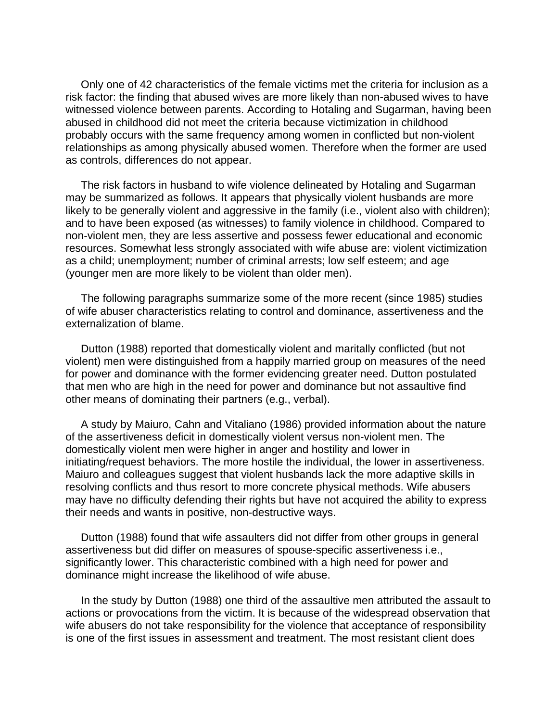Only one of 42 characteristics of the female victims met the criteria for inclusion as a risk factor: the finding that abused wives are more likely than non-abused wives to have witnessed violence between parents. According to Hotaling and Sugarman, having been abused in childhood did not meet the criteria because victimization in childhood probably occurs with the same frequency among women in conflicted but non-violent relationships as among physically abused women. Therefore when the former are used as controls, differences do not appear.

 The risk factors in husband to wife violence delineated by Hotaling and Sugarman may be summarized as follows. It appears that physically violent husbands are more likely to be generally violent and aggressive in the family (i.e., violent also with children); and to have been exposed (as witnesses) to family violence in childhood. Compared to non-violent men, they are less assertive and possess fewer educational and economic resources. Somewhat less strongly associated with wife abuse are: violent victimization as a child; unemployment; number of criminal arrests; low self esteem; and age (younger men are more likely to be violent than older men).

 The following paragraphs summarize some of the more recent (since 1985) studies of wife abuser characteristics relating to control and dominance, assertiveness and the externalization of blame.

 Dutton (1988) reported that domestically violent and maritally conflicted (but not violent) men were distinguished from a happily married group on measures of the need for power and dominance with the former evidencing greater need. Dutton postulated that men who are high in the need for power and dominance but not assaultive find other means of dominating their partners (e.g., verbal).

 A study by Maiuro, Cahn and Vitaliano (1986) provided information about the nature of the assertiveness deficit in domestically violent versus non-violent men. The domestically violent men were higher in anger and hostility and lower in initiating/request behaviors. The more hostile the individual, the lower in assertiveness. Maiuro and colleagues suggest that violent husbands lack the more adaptive skills in resolving conflicts and thus resort to more concrete physical methods. Wife abusers may have no difficulty defending their rights but have not acquired the ability to express their needs and wants in positive, non-destructive ways.

 Dutton (1988) found that wife assaulters did not differ from other groups in general assertiveness but did differ on measures of spouse-specific assertiveness i.e., significantly lower. This characteristic combined with a high need for power and dominance might increase the likelihood of wife abuse.

 In the study by Dutton (1988) one third of the assaultive men attributed the assault to actions or provocations from the victim. It is because of the widespread observation that wife abusers do not take responsibility for the violence that acceptance of responsibility is one of the first issues in assessment and treatment. The most resistant client does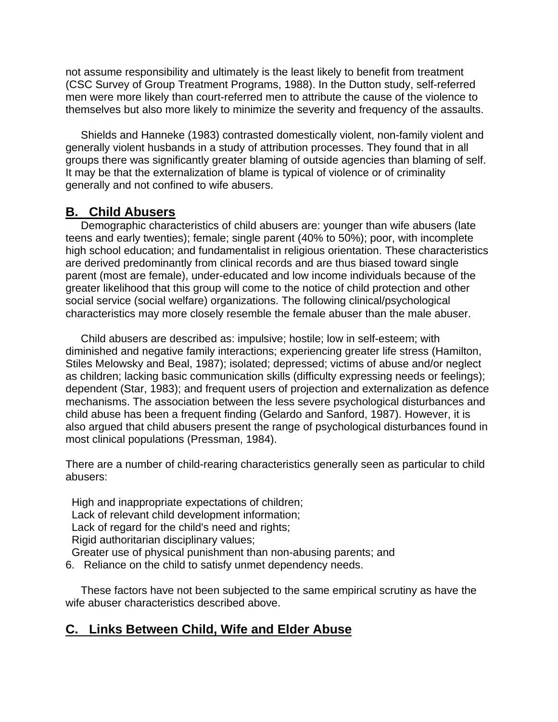not assume responsibility and ultimately is the least likely to benefit from treatment (CSC Survey of Group Treatment Programs, 1988). In the Dutton study, self-referred men were more likely than court-referred men to attribute the cause of the violence to themselves but also more likely to minimize the severity and frequency of the assaults.

 Shields and Hanneke (1983) contrasted domestically violent, non-family violent and generally violent husbands in a study of attribution processes. They found that in all groups there was significantly greater blaming of outside agencies than blaming of self. It may be that the externalization of blame is typical of violence or of criminality generally and not confined to wife abusers.

# **B. Child Abusers**

 Demographic characteristics of child abusers are: younger than wife abusers (late teens and early twenties); female; single parent (40% to 50%); poor, with incomplete high school education; and fundamentalist in religious orientation. These characteristics are derived predominantly from clinical records and are thus biased toward single parent (most are female), under-educated and low income individuals because of the greater likelihood that this group will come to the notice of child protection and other social service (social welfare) organizations. The following clinical/psychological characteristics may more closely resemble the female abuser than the male abuser.

 Child abusers are described as: impulsive; hostile; low in self-esteem; with diminished and negative family interactions; experiencing greater life stress (Hamilton, Stiles Melowsky and Beal, 1987); isolated; depressed; victims of abuse and/or neglect as children; lacking basic communication skills (difficulty expressing needs or feelings); dependent (Star, 1983); and frequent users of projection and externalization as defence mechanisms. The association between the less severe psychological disturbances and child abuse has been a frequent finding (Gelardo and Sanford, 1987). However, it is also argued that child abusers present the range of psychological disturbances found in most clinical populations (Pressman, 1984).

There are a number of child-rearing characteristics generally seen as particular to child abusers:

 High and inappropriate expectations of children; Lack of relevant child development information; Lack of regard for the child's need and rights; Rigid authoritarian disciplinary values; Greater use of physical punishment than non-abusing parents; and

6. Reliance on the child to satisfy unmet dependency needs.

 These factors have not been subjected to the same empirical scrutiny as have the wife abuser characteristics described above.

# **C. Links Between Child, Wife and Elder Abuse**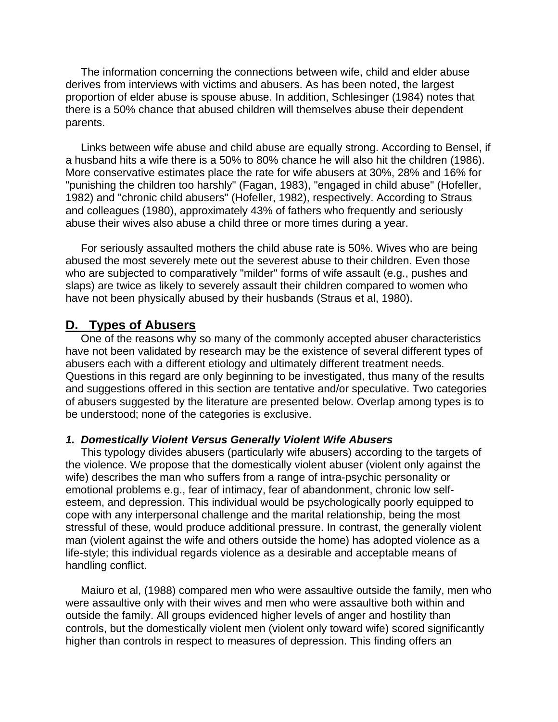The information concerning the connections between wife, child and elder abuse derives from interviews with victims and abusers. As has been noted, the largest proportion of elder abuse is spouse abuse. In addition, Schlesinger (1984) notes that there is a 50% chance that abused children will themselves abuse their dependent parents.

 Links between wife abuse and child abuse are equally strong. According to Bensel, if a husband hits a wife there is a 50% to 80% chance he will also hit the children (1986). More conservative estimates place the rate for wife abusers at 30%, 28% and 16% for "punishing the children too harshly" (Fagan, 1983), "engaged in child abuse" (Hofeller, 1982) and "chronic child abusers" (Hofeller, 1982), respectively. According to Straus and colleagues (1980), approximately 43% of fathers who frequently and seriously abuse their wives also abuse a child three or more times during a year.

 For seriously assaulted mothers the child abuse rate is 50%. Wives who are being abused the most severely mete out the severest abuse to their children. Even those who are subjected to comparatively "milder" forms of wife assault (e.g., pushes and slaps) are twice as likely to severely assault their children compared to women who have not been physically abused by their husbands (Straus et al, 1980).

## **D. Types of Abusers**

 One of the reasons why so many of the commonly accepted abuser characteristics have not been validated by research may be the existence of several different types of abusers each with a different etiology and ultimately different treatment needs. Questions in this regard are only beginning to be investigated, thus many of the results and suggestions offered in this section are tentative and/or speculative. Two categories of abusers suggested by the literature are presented below. Overlap among types is to be understood; none of the categories is exclusive.

#### *1. Domestically Violent Versus Generally Violent Wife Abusers*

 This typology divides abusers (particularly wife abusers) according to the targets of the violence. We propose that the domestically violent abuser (violent only against the wife) describes the man who suffers from a range of intra-psychic personality or emotional problems e.g., fear of intimacy, fear of abandonment, chronic low selfesteem, and depression. This individual would be psychologically poorly equipped to cope with any interpersonal challenge and the marital relationship, being the most stressful of these, would produce additional pressure. In contrast, the generally violent man (violent against the wife and others outside the home) has adopted violence as a life-style; this individual regards violence as a desirable and acceptable means of handling conflict.

 Maiuro et al, (1988) compared men who were assaultive outside the family, men who were assaultive only with their wives and men who were assaultive both within and outside the family. All groups evidenced higher levels of anger and hostility than controls, but the domestically violent men (violent only toward wife) scored significantly higher than controls in respect to measures of depression. This finding offers an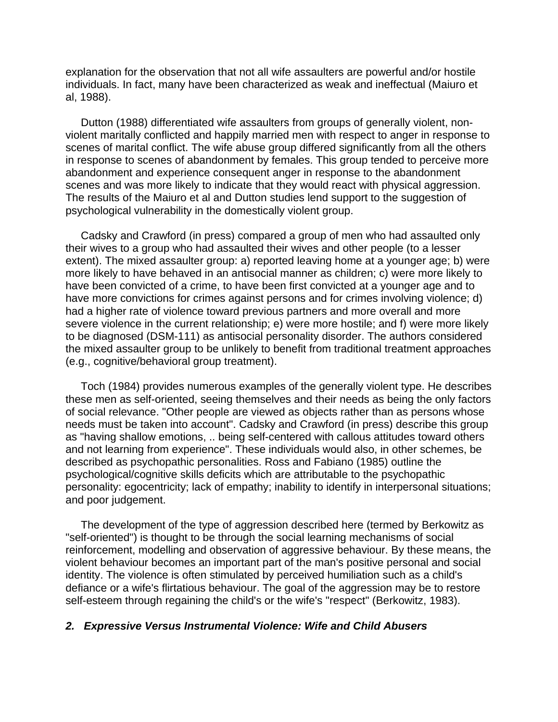explanation for the observation that not all wife assaulters are powerful and/or hostile individuals. In fact, many have been characterized as weak and ineffectual (Maiuro et al, 1988).

 Dutton (1988) differentiated wife assaulters from groups of generally violent, nonviolent maritally conflicted and happily married men with respect to anger in response to scenes of marital conflict. The wife abuse group differed significantly from all the others in response to scenes of abandonment by females. This group tended to perceive more abandonment and experience consequent anger in response to the abandonment scenes and was more likely to indicate that they would react with physical aggression. The results of the Maiuro et al and Dutton studies lend support to the suggestion of psychological vulnerability in the domestically violent group.

 Cadsky and Crawford (in press) compared a group of men who had assaulted only their wives to a group who had assaulted their wives and other people (to a lesser extent). The mixed assaulter group: a) reported leaving home at a younger age; b) were more likely to have behaved in an antisocial manner as children; c) were more likely to have been convicted of a crime, to have been first convicted at a younger age and to have more convictions for crimes against persons and for crimes involving violence; d) had a higher rate of violence toward previous partners and more overall and more severe violence in the current relationship; e) were more hostile; and f) were more likely to be diagnosed (DSM-111) as antisocial personality disorder. The authors considered the mixed assaulter group to be unlikely to benefit from traditional treatment approaches (e.g., cognitive/behavioral group treatment).

 Toch (1984) provides numerous examples of the generally violent type. He describes these men as self-oriented, seeing themselves and their needs as being the only factors of social relevance. "Other people are viewed as objects rather than as persons whose needs must be taken into account". Cadsky and Crawford (in press) describe this group as "having shallow emotions, .. being self-centered with callous attitudes toward others and not learning from experience". These individuals would also, in other schemes, be described as psychopathic personalities. Ross and Fabiano (1985) outline the psychological/cognitive skills deficits which are attributable to the psychopathic personality: egocentricity; lack of empathy; inability to identify in interpersonal situations; and poor judgement.

 The development of the type of aggression described here (termed by Berkowitz as "self-oriented") is thought to be through the social learning mechanisms of social reinforcement, modelling and observation of aggressive behaviour. By these means, the violent behaviour becomes an important part of the man's positive personal and social identity. The violence is often stimulated by perceived humiliation such as a child's defiance or a wife's flirtatious behaviour. The goal of the aggression may be to restore self-esteem through regaining the child's or the wife's "respect" (Berkowitz, 1983).

#### *2. Expressive Versus Instrumental Violence: Wife and Child Abusers*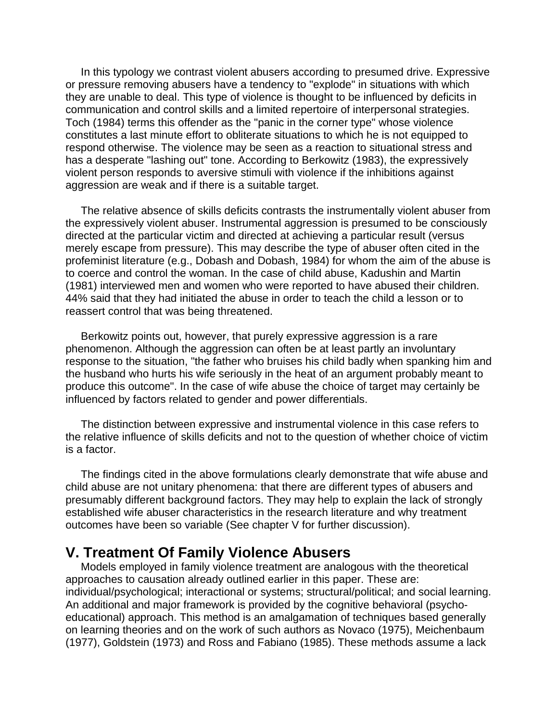In this typology we contrast violent abusers according to presumed drive. Expressive or pressure removing abusers have a tendency to "explode" in situations with which they are unable to deal. This type of violence is thought to be influenced by deficits in communication and control skills and a limited repertoire of interpersonal strategies. Toch (1984) terms this offender as the "panic in the corner type" whose violence constitutes a last minute effort to obliterate situations to which he is not equipped to respond otherwise. The violence may be seen as a reaction to situational stress and has a desperate "lashing out" tone. According to Berkowitz (1983), the expressively violent person responds to aversive stimuli with violence if the inhibitions against aggression are weak and if there is a suitable target.

 The relative absence of skills deficits contrasts the instrumentally violent abuser from the expressively violent abuser. Instrumental aggression is presumed to be consciously directed at the particular victim and directed at achieving a particular result (versus merely escape from pressure). This may describe the type of abuser often cited in the profeminist literature (e.g., Dobash and Dobash, 1984) for whom the aim of the abuse is to coerce and control the woman. In the case of child abuse, Kadushin and Martin (1981) interviewed men and women who were reported to have abused their children. 44% said that they had initiated the abuse in order to teach the child a lesson or to reassert control that was being threatened.

 Berkowitz points out, however, that purely expressive aggression is a rare phenomenon. Although the aggression can often be at least partly an involuntary response to the situation, "the father who bruises his child badly when spanking him and the husband who hurts his wife seriously in the heat of an argument probably meant to produce this outcome". In the case of wife abuse the choice of target may certainly be influenced by factors related to gender and power differentials.

 The distinction between expressive and instrumental violence in this case refers to the relative influence of skills deficits and not to the question of whether choice of victim is a factor.

 The findings cited in the above formulations clearly demonstrate that wife abuse and child abuse are not unitary phenomena: that there are different types of abusers and presumably different background factors. They may help to explain the lack of strongly established wife abuser characteristics in the research literature and why treatment outcomes have been so variable (See chapter V for further discussion).

# **V. Treatment Of Family Violence Abusers**

 Models employed in family violence treatment are analogous with the theoretical approaches to causation already outlined earlier in this paper. These are: individual/psychological; interactional or systems; structural/political; and social learning. An additional and major framework is provided by the cognitive behavioral (psychoeducational) approach. This method is an amalgamation of techniques based generally on learning theories and on the work of such authors as Novaco (1975), Meichenbaum (1977), Goldstein (1973) and Ross and Fabiano (1985). These methods assume a lack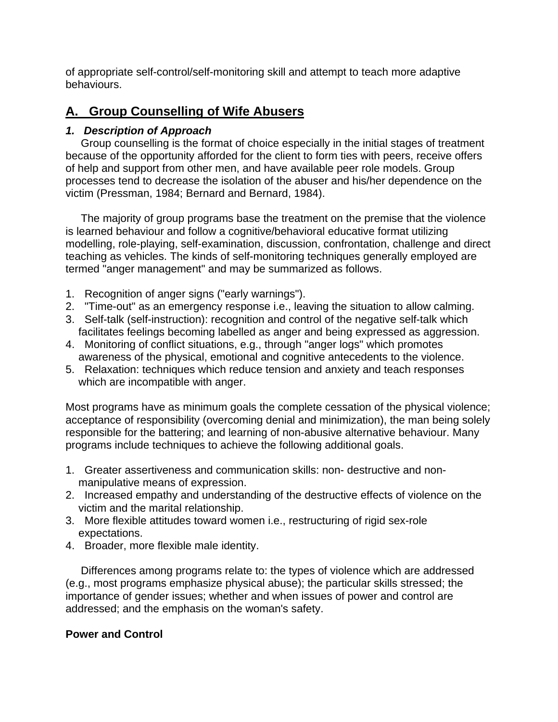of appropriate self-control/self-monitoring skill and attempt to teach more adaptive behaviours.

# **A. Group Counselling of Wife Abusers**

# *1. Description of Approach*

 Group counselling is the format of choice especially in the initial stages of treatment because of the opportunity afforded for the client to form ties with peers, receive offers of help and support from other men, and have available peer role models. Group processes tend to decrease the isolation of the abuser and his/her dependence on the victim (Pressman, 1984; Bernard and Bernard, 1984).

 The majority of group programs base the treatment on the premise that the violence is learned behaviour and follow a cognitive/behavioral educative format utilizing modelling, role-playing, self-examination, discussion, confrontation, challenge and direct teaching as vehicles. The kinds of self-monitoring techniques generally employed are termed "anger management" and may be summarized as follows.

- 1. Recognition of anger signs ("early warnings").
- 2. "Time-out" as an emergency response i.e., leaving the situation to allow calming.
- 3. Self-talk (self-instruction): recognition and control of the negative self-talk which facilitates feelings becoming labelled as anger and being expressed as aggression.
- 4. Monitoring of conflict situations, e.g., through "anger logs" which promotes awareness of the physical, emotional and cognitive antecedents to the violence.
- 5. Relaxation: techniques which reduce tension and anxiety and teach responses which are incompatible with anger.

Most programs have as minimum goals the complete cessation of the physical violence; acceptance of responsibility (overcoming denial and minimization), the man being solely responsible for the battering; and learning of non-abusive alternative behaviour. Many programs include techniques to achieve the following additional goals.

- 1. Greater assertiveness and communication skills: non- destructive and nonmanipulative means of expression.
- 2. Increased empathy and understanding of the destructive effects of violence on the victim and the marital relationship.
- 3. More flexible attitudes toward women i.e., restructuring of rigid sex-role expectations.
- 4. Broader, more flexible male identity.

 Differences among programs relate to: the types of violence which are addressed (e.g., most programs emphasize physical abuse); the particular skills stressed; the importance of gender issues; whether and when issues of power and control are addressed; and the emphasis on the woman's safety.

# **Power and Control**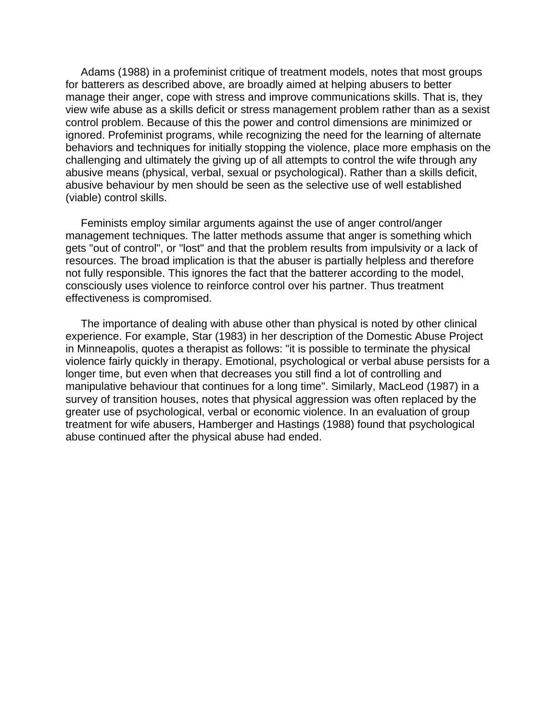Adams (1988) in a profeminist critique of treatment models, notes that most groups for batterers as described above, are broadly aimed at helping abusers to better manage their anger, cope with stress and improve communications skills. That is, they view wife abuse as a skills deficit or stress management problem rather than as a sexist control problem. Because of this the power and control dimensions are minimized or ignored. Profeminist programs, while recognizing the need for the learning of alternate behaviors and techniques for initially stopping the violence, place more emphasis on the challenging and ultimately the giving up of all attempts to control the wife through any abusive means (physical, verbal, sexual or psychological). Rather than a skills deficit, abusive behaviour by men should be seen as the selective use of well established (viable) control skills.

 Feminists employ similar arguments against the use of anger control/anger management techniques. The latter methods assume that anger is something which gets "out of control", or "lost" and that the problem results from impulsivity or a lack of resources. The broad implication is that the abuser is partially helpless and therefore not fully responsible. This ignores the fact that the batterer according to the model, consciously uses violence to reinforce control over his partner. Thus treatment effectiveness is compromised.

 The importance of dealing with abuse other than physical is noted by other clinical experience. For example, Star (1983) in her description of the Domestic Abuse Project in Minneapolis, quotes a therapist as follows: "it is possible to terminate the physical violence fairly quickly in therapy. Emotional, psychological or verbal abuse persists for a longer time, but even when that decreases you still find a lot of controlling and manipulative behaviour that continues for a long time". Similarly, MacLeod (1987) in a survey of transition houses, notes that physical aggression was often replaced by the greater use of psychological, verbal or economic violence. In an evaluation of group treatment for wife abusers, Hamberger and Hastings (1988) found that psychological abuse continued after the physical abuse had ended.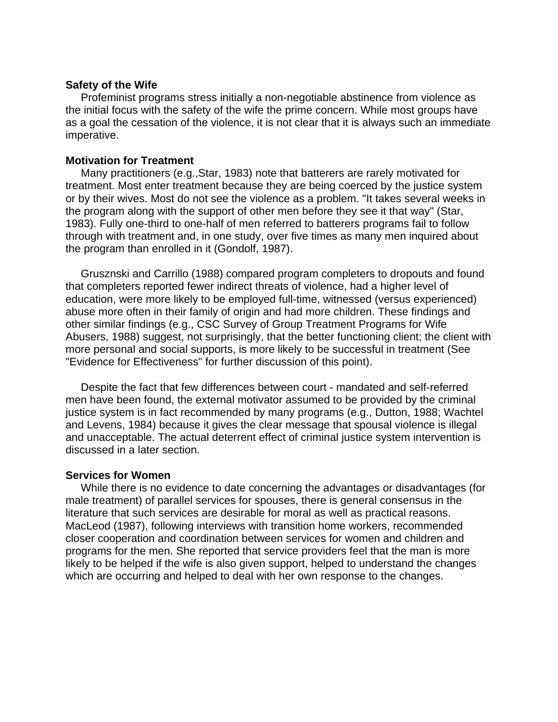#### **Safety of the Wife**

 Profeminist programs stress initially a non-negotiable abstinence from violence as the initial focus with the safety of the wife the prime concern. While most groups have as a goal the cessation of the violence, it is not clear that it is always such an immediate imperative.

#### **Motivation for Treatment**

 Many practitioners (e.g.,Star, 1983) note that batterers are rarely motivated for treatment. Most enter treatment because they are being coerced by the justice system or by their wives. Most do not see the violence as a problem. "It takes several weeks in the program along with the support of other men before they see it that way" (Star, 1983). Fully one-third to one-half of men referred to batterers programs fail to follow through with treatment and, in one study, over five times as many men inquired about the program than enrolled in it (Gondolf, 1987).

 Grusznski and Carrillo (1988) compared program completers to dropouts and found that completers reported fewer indirect threats of violence, had a higher level of education, were more likely to be employed full-time, witnessed (versus experienced) abuse more often in their family of origin and had more children. These findings and other similar findings (e.g., CSC Survey of Group Treatment Programs for Wife Abusers, 1988) suggest, not surprisingly, that the better functioning client; the client with more personal and social supports, is more likely to be successful in treatment (See "Evidence for Effectiveness" for further discussion of this point).

 Despite the fact that few differences between court - mandated and self-referred men have been found, the external motivator assumed to be provided by the criminal justice system is in fact recommended by many programs (e.g., Dutton, 1988; Wachtel and Levens, 1984) because it gives the clear message that spousal violence is illegal and unacceptable. The actual deterrent effect of criminal justice system intervention is discussed in a later section.

#### **Services for Women**

 While there is no evidence to date concerning the advantages or disadvantages (for male treatment) of parallel services for spouses, there is general consensus in the literature that such services are desirable for moral as well as practical reasons. MacLeod (1987), following interviews with transition home workers, recommended closer cooperation and coordination between services for women and children and programs for the men. She reported that service providers feel that the man is more likely to be helped if the wife is also given support, helped to understand the changes which are occurring and helped to deal with her own response to the changes.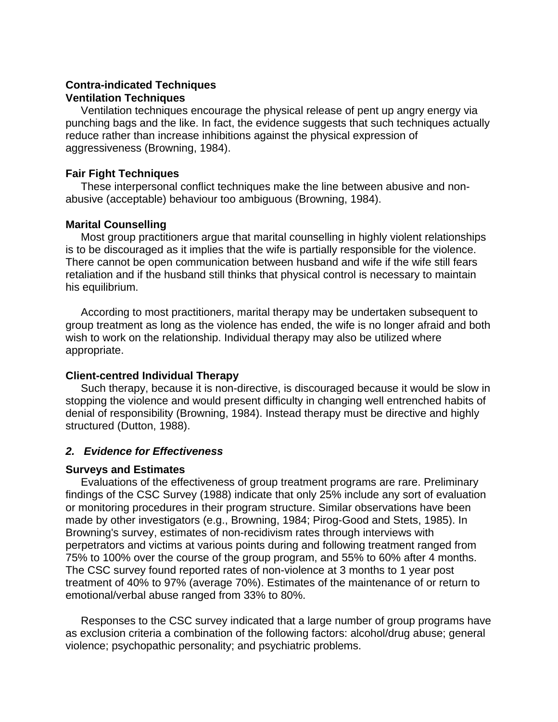## **Contra-indicated Techniques Ventilation Techniques**

 Ventilation techniques encourage the physical release of pent up angry energy via punching bags and the like. In fact, the evidence suggests that such techniques actually reduce rather than increase inhibitions against the physical expression of aggressiveness (Browning, 1984).

## **Fair Fight Techniques**

 These interpersonal conflict techniques make the line between abusive and nonabusive (acceptable) behaviour too ambiguous (Browning, 1984).

## **Marital Counselling**

 Most group practitioners argue that marital counselling in highly violent relationships is to be discouraged as it implies that the wife is partially responsible for the violence. There cannot be open communication between husband and wife if the wife still fears retaliation and if the husband still thinks that physical control is necessary to maintain his equilibrium.

 According to most practitioners, marital therapy may be undertaken subsequent to group treatment as long as the violence has ended, the wife is no longer afraid and both wish to work on the relationship. Individual therapy may also be utilized where appropriate.

## **Client-centred Individual Therapy**

 Such therapy, because it is non-directive, is discouraged because it would be slow in stopping the violence and would present difficulty in changing well entrenched habits of denial of responsibility (Browning, 1984). Instead therapy must be directive and highly structured (Dutton, 1988).

## *2. Evidence for Effectiveness*

## **Surveys and Estimates**

 Evaluations of the effectiveness of group treatment programs are rare. Preliminary findings of the CSC Survey (1988) indicate that only 25% include any sort of evaluation or monitoring procedures in their program structure. Similar observations have been made by other investigators (e.g., Browning, 1984; Pirog-Good and Stets, 1985). In Browning's survey, estimates of non-recidivism rates through interviews with perpetrators and victims at various points during and following treatment ranged from 75% to 100% over the course of the group program, and 55% to 60% after 4 months. The CSC survey found reported rates of non-violence at 3 months to 1 year post treatment of 40% to 97% (average 70%). Estimates of the maintenance of or return to emotional/verbal abuse ranged from 33% to 80%.

 Responses to the CSC survey indicated that a large number of group programs have as exclusion criteria a combination of the following factors: alcohol/drug abuse; general violence; psychopathic personality; and psychiatric problems.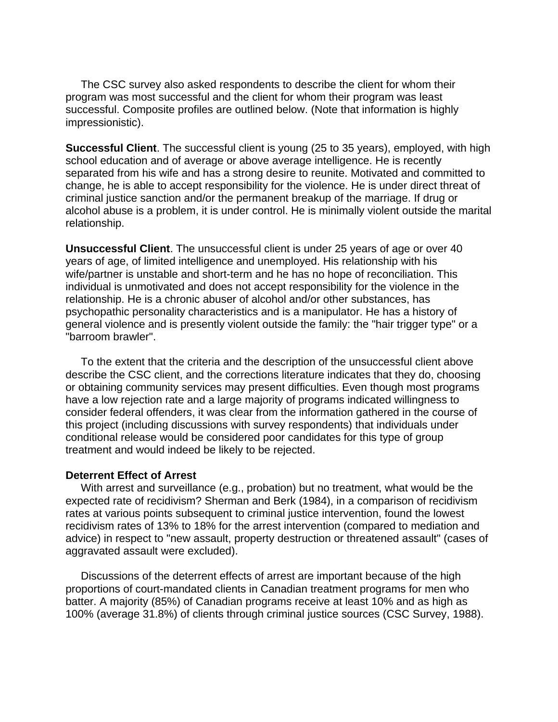The CSC survey also asked respondents to describe the client for whom their program was most successful and the client for whom their program was least successful. Composite profiles are outlined below. (Note that information is highly impressionistic).

**Successful Client**. The successful client is young (25 to 35 years), employed, with high school education and of average or above average intelligence. He is recently separated from his wife and has a strong desire to reunite. Motivated and committed to change, he is able to accept responsibility for the violence. He is under direct threat of criminal justice sanction and/or the permanent breakup of the marriage. If drug or alcohol abuse is a problem, it is under control. He is minimally violent outside the marital relationship.

**Unsuccessful Client**. The unsuccessful client is under 25 years of age or over 40 years of age, of limited intelligence and unemployed. His relationship with his wife/partner is unstable and short-term and he has no hope of reconciliation. This individual is unmotivated and does not accept responsibility for the violence in the relationship. He is a chronic abuser of alcohol and/or other substances, has psychopathic personality characteristics and is a manipulator. He has a history of general violence and is presently violent outside the family: the "hair trigger type" or a "barroom brawler".

 To the extent that the criteria and the description of the unsuccessful client above describe the CSC client, and the corrections literature indicates that they do, choosing or obtaining community services may present difficulties. Even though most programs have a low rejection rate and a large majority of programs indicated willingness to consider federal offenders, it was clear from the information gathered in the course of this project (including discussions with survey respondents) that individuals under conditional release would be considered poor candidates for this type of group treatment and would indeed be likely to be rejected.

#### **Deterrent Effect of Arrest**

 With arrest and surveillance (e.g., probation) but no treatment, what would be the expected rate of recidivism? Sherman and Berk (1984), in a comparison of recidivism rates at various points subsequent to criminal justice intervention, found the lowest recidivism rates of 13% to 18% for the arrest intervention (compared to mediation and advice) in respect to "new assault, property destruction or threatened assault" (cases of aggravated assault were excluded).

 Discussions of the deterrent effects of arrest are important because of the high proportions of court-mandated clients in Canadian treatment programs for men who batter. A majority (85%) of Canadian programs receive at least 10% and as high as 100% (average 31.8%) of clients through criminal justice sources (CSC Survey, 1988).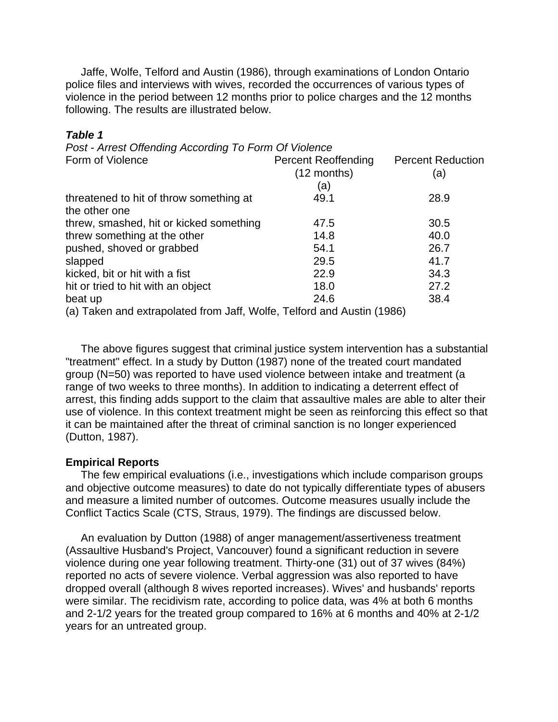Jaffe, Wolfe, Telford and Austin (1986), through examinations of London Ontario police files and interviews with wives, recorded the occurrences of various types of violence in the period between 12 months prior to police charges and the 12 months following. The results are illustrated below.

#### *Table 1*

| Post - Arrest Offending According To Form Of Violence                  |                            |                          |
|------------------------------------------------------------------------|----------------------------|--------------------------|
| Form of Violence                                                       | <b>Percent Reoffending</b> | <b>Percent Reduction</b> |
|                                                                        | $(12$ months)              | (a)                      |
|                                                                        | (a)                        |                          |
| threatened to hit of throw something at                                | 49.1                       | 28.9                     |
| the other one                                                          |                            |                          |
| threw, smashed, hit or kicked something                                | 47.5                       | 30.5                     |
| threw something at the other                                           | 14.8                       | 40.0                     |
| pushed, shoved or grabbed                                              | 54.1                       | 26.7                     |
| slapped                                                                | 29.5                       | 41.7                     |
| kicked, bit or hit with a fist                                         | 22.9                       | 34.3                     |
| hit or tried to hit with an object                                     | 18.0                       | 27.2                     |
| beat up                                                                | 24.6                       | 38.4                     |
| (a) Taken and extrapolated from Jaff, Wolfe, Telford and Austin (1986) |                            |                          |

 The above figures suggest that criminal justice system intervention has a substantial "treatment" effect. In a study by Dutton (1987) none of the treated court mandated group (N=50) was reported to have used violence between intake and treatment (a range of two weeks to three months). In addition to indicating a deterrent effect of arrest, this finding adds support to the claim that assaultive males are able to alter their use of violence. In this context treatment might be seen as reinforcing this effect so that it can be maintained after the threat of criminal sanction is no longer experienced (Dutton, 1987).

#### **Empirical Reports**

 The few empirical evaluations (i.e., investigations which include comparison groups and objective outcome measures) to date do not typically differentiate types of abusers and measure a limited number of outcomes. Outcome measures usually include the Conflict Tactics Scale (CTS, Straus, 1979). The findings are discussed below.

 An evaluation by Dutton (1988) of anger management/assertiveness treatment (Assaultive Husband's Project, Vancouver) found a significant reduction in severe violence during one year following treatment. Thirty-one (31) out of 37 wives (84%) reported no acts of severe violence. Verbal aggression was also reported to have dropped overall (although 8 wives reported increases). Wives' and husbands' reports were similar. The recidivism rate, according to police data, was 4% at both 6 months and 2-1/2 years for the treated group compared to 16% at 6 months and 40% at 2-1/2 years for an untreated group.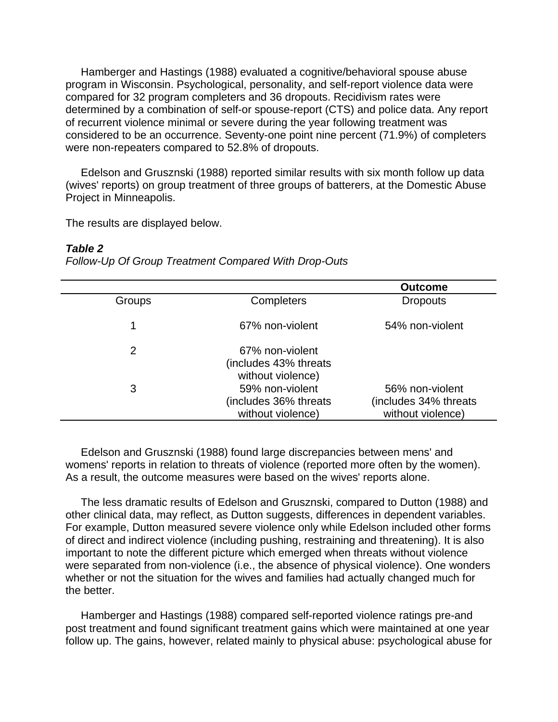Hamberger and Hastings (1988) evaluated a cognitive/behavioral spouse abuse program in Wisconsin. Psychological, personality, and self-report violence data were compared for 32 program completers and 36 dropouts. Recidivism rates were determined by a combination of self-or spouse-report (CTS) and police data. Any report of recurrent violence minimal or severe during the year following treatment was considered to be an occurrence. Seventy-one point nine percent (71.9%) of completers were non-repeaters compared to 52.8% of dropouts.

 Edelson and Grusznski (1988) reported similar results with six month follow up data (wives' reports) on group treatment of three groups of batterers, at the Domestic Abuse Project in Minneapolis.

The results are displayed below.

#### *Table 2*

*Follow-Up Of Group Treatment Compared With Drop-Outs*

|               |                                                               | <b>Outcome</b>                                                 |
|---------------|---------------------------------------------------------------|----------------------------------------------------------------|
| <b>Groups</b> | Completers                                                    | <b>Dropouts</b>                                                |
|               | 67% non-violent                                               | 54% non-violent                                                |
| 2             | 67% non-violent<br>(includes 43% threats<br>without violence) |                                                                |
| 3             | 59% non-violent<br>(includes 36% threats<br>without violence) | 56% non-violent<br>(includes 34% threats)<br>without violence) |

 Edelson and Grusznski (1988) found large discrepancies between mens' and womens' reports in relation to threats of violence (reported more often by the women). As a result, the outcome measures were based on the wives' reports alone.

 The less dramatic results of Edelson and Grusznski, compared to Dutton (1988) and other clinical data, may reflect, as Dutton suggests, differences in dependent variables. For example, Dutton measured severe violence only while Edelson included other forms of direct and indirect violence (including pushing, restraining and threatening). It is also important to note the different picture which emerged when threats without violence were separated from non-violence (i.e., the absence of physical violence). One wonders whether or not the situation for the wives and families had actually changed much for the better.

 Hamberger and Hastings (1988) compared self-reported violence ratings pre-and post treatment and found significant treatment gains which were maintained at one year follow up. The gains, however, related mainly to physical abuse: psychological abuse for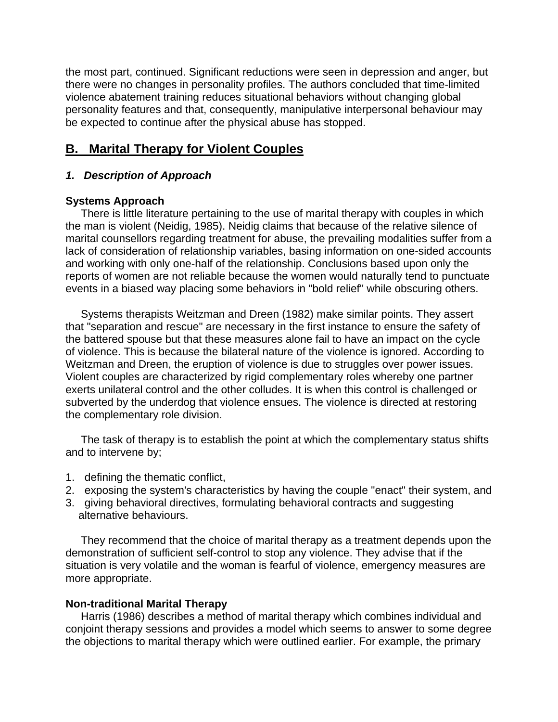the most part, continued. Significant reductions were seen in depression and anger, but there were no changes in personality profiles. The authors concluded that time-limited violence abatement training reduces situational behaviors without changing global personality features and that, consequently, manipulative interpersonal behaviour may be expected to continue after the physical abuse has stopped.

# **B. Marital Therapy for Violent Couples**

## *1. Description of Approach*

## **Systems Approach**

 There is little literature pertaining to the use of marital therapy with couples in which the man is violent (Neidig, 1985). Neidig claims that because of the relative silence of marital counsellors regarding treatment for abuse, the prevailing modalities suffer from a lack of consideration of relationship variables, basing information on one-sided accounts and working with only one-half of the relationship. Conclusions based upon only the reports of women are not reliable because the women would naturally tend to punctuate events in a biased way placing some behaviors in "bold relief" while obscuring others.

 Systems therapists Weitzman and Dreen (1982) make similar points. They assert that "separation and rescue" are necessary in the first instance to ensure the safety of the battered spouse but that these measures alone fail to have an impact on the cycle of violence. This is because the bilateral nature of the violence is ignored. According to Weitzman and Dreen, the eruption of violence is due to struggles over power issues. Violent couples are characterized by rigid complementary roles whereby one partner exerts unilateral control and the other colludes. It is when this control is challenged or subverted by the underdog that violence ensues. The violence is directed at restoring the complementary role division.

 The task of therapy is to establish the point at which the complementary status shifts and to intervene by;

- 1. defining the thematic conflict,
- 2. exposing the system's characteristics by having the couple "enact" their system, and
- 3. giving behavioral directives, formulating behavioral contracts and suggesting alternative behaviours.

 They recommend that the choice of marital therapy as a treatment depends upon the demonstration of sufficient self-control to stop any violence. They advise that if the situation is very volatile and the woman is fearful of violence, emergency measures are more appropriate.

## **Non-traditional Marital Therapy**

 Harris (1986) describes a method of marital therapy which combines individual and conjoint therapy sessions and provides a model which seems to answer to some degree the objections to marital therapy which were outlined earlier. For example, the primary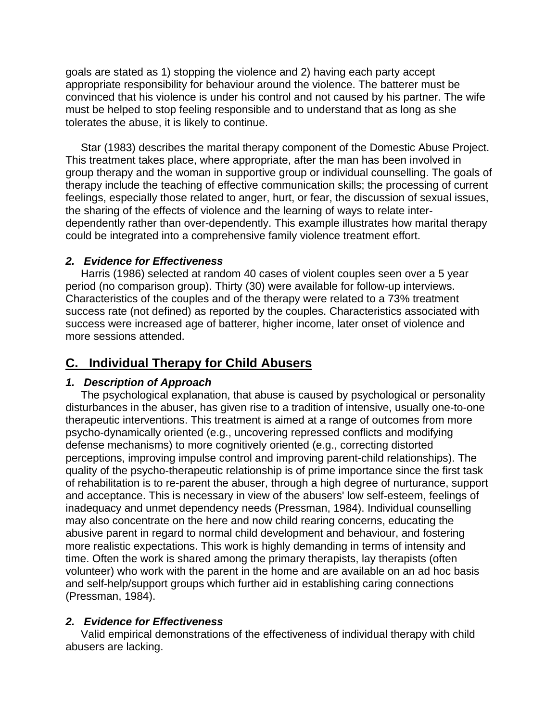goals are stated as 1) stopping the violence and 2) having each party accept appropriate responsibility for behaviour around the violence. The batterer must be convinced that his violence is under his control and not caused by his partner. The wife must be helped to stop feeling responsible and to understand that as long as she tolerates the abuse, it is likely to continue.

 Star (1983) describes the marital therapy component of the Domestic Abuse Project. This treatment takes place, where appropriate, after the man has been involved in group therapy and the woman in supportive group or individual counselling. The goals of therapy include the teaching of effective communication skills; the processing of current feelings, especially those related to anger, hurt, or fear, the discussion of sexual issues, the sharing of the effects of violence and the learning of ways to relate interdependently rather than over-dependently. This example illustrates how marital therapy could be integrated into a comprehensive family violence treatment effort.

## *2. Evidence for Effectiveness*

 Harris (1986) selected at random 40 cases of violent couples seen over a 5 year period (no comparison group). Thirty (30) were available for follow-up interviews. Characteristics of the couples and of the therapy were related to a 73% treatment success rate (not defined) as reported by the couples. Characteristics associated with success were increased age of batterer, higher income, later onset of violence and more sessions attended.

# **C. Individual Therapy for Child Abusers**

## *1. Description of Approach*

 The psychological explanation, that abuse is caused by psychological or personality disturbances in the abuser, has given rise to a tradition of intensive, usually one-to-one therapeutic interventions. This treatment is aimed at a range of outcomes from more psycho-dynamically oriented (e.g., uncovering repressed conflicts and modifying defense mechanisms) to more cognitively oriented (e.g., correcting distorted perceptions, improving impulse control and improving parent-child relationships). The quality of the psycho-therapeutic relationship is of prime importance since the first task of rehabilitation is to re-parent the abuser, through a high degree of nurturance, support and acceptance. This is necessary in view of the abusers' low self-esteem, feelings of inadequacy and unmet dependency needs (Pressman, 1984). Individual counselling may also concentrate on the here and now child rearing concerns, educating the abusive parent in regard to normal child development and behaviour, and fostering more realistic expectations. This work is highly demanding in terms of intensity and time. Often the work is shared among the primary therapists, lay therapists (often volunteer) who work with the parent in the home and are available on an ad hoc basis and self-help/support groups which further aid in establishing caring connections (Pressman, 1984).

# *2. Evidence for Effectiveness*

 Valid empirical demonstrations of the effectiveness of individual therapy with child abusers are lacking.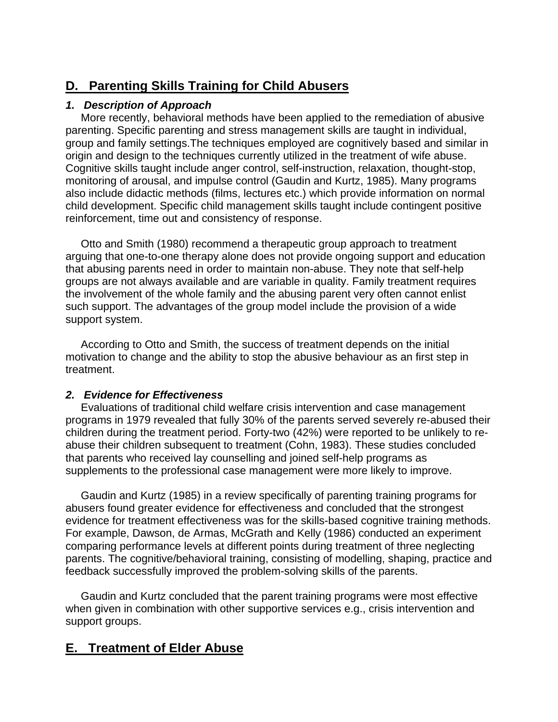# **D. Parenting Skills Training for Child Abusers**

# *1. Description of Approach*

 More recently, behavioral methods have been applied to the remediation of abusive parenting. Specific parenting and stress management skills are taught in individual, group and family settings.The techniques employed are cognitively based and similar in origin and design to the techniques currently utilized in the treatment of wife abuse. Cognitive skills taught include anger control, self-instruction, relaxation, thought-stop, monitoring of arousal, and impulse control (Gaudin and Kurtz, 1985). Many programs also include didactic methods (films, lectures etc.) which provide information on normal child development. Specific child management skills taught include contingent positive reinforcement, time out and consistency of response.

 Otto and Smith (1980) recommend a therapeutic group approach to treatment arguing that one-to-one therapy alone does not provide ongoing support and education that abusing parents need in order to maintain non-abuse. They note that self-help groups are not always available and are variable in quality. Family treatment requires the involvement of the whole family and the abusing parent very often cannot enlist such support. The advantages of the group model include the provision of a wide support system.

 According to Otto and Smith, the success of treatment depends on the initial motivation to change and the ability to stop the abusive behaviour as an first step in treatment.

# *2. Evidence for Effectiveness*

 Evaluations of traditional child welfare crisis intervention and case management programs in 1979 revealed that fully 30% of the parents served severely re-abused their children during the treatment period. Forty-two (42%) were reported to be unlikely to reabuse their children subsequent to treatment (Cohn, 1983). These studies concluded that parents who received lay counselling and joined self-help programs as supplements to the professional case management were more likely to improve.

 Gaudin and Kurtz (1985) in a review specifically of parenting training programs for abusers found greater evidence for effectiveness and concluded that the strongest evidence for treatment effectiveness was for the skills-based cognitive training methods. For example, Dawson, de Armas, McGrath and Kelly (1986) conducted an experiment comparing performance levels at different points during treatment of three neglecting parents. The cognitive/behavioral training, consisting of modelling, shaping, practice and feedback successfully improved the problem-solving skills of the parents.

 Gaudin and Kurtz concluded that the parent training programs were most effective when given in combination with other supportive services e.g., crisis intervention and support groups.

# **E. Treatment of Elder Abuse**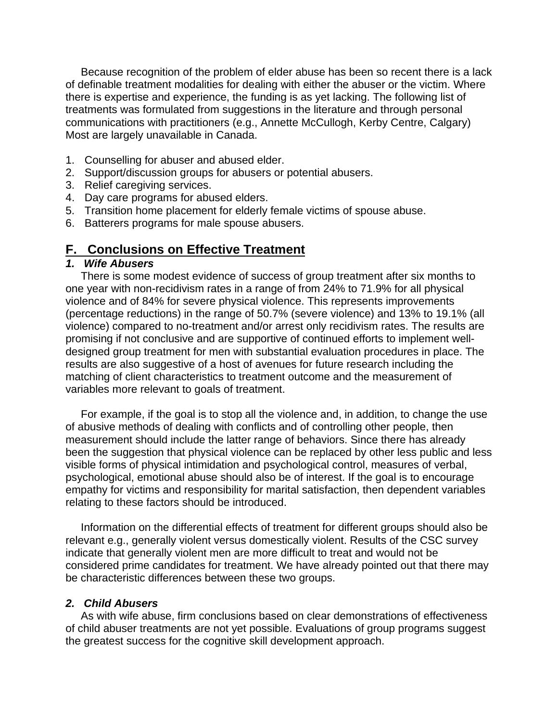Because recognition of the problem of elder abuse has been so recent there is a lack of definable treatment modalities for dealing with either the abuser or the victim. Where there is expertise and experience, the funding is as yet lacking. The following list of treatments was formulated from suggestions in the literature and through personal communications with practitioners (e.g., Annette McCullogh, Kerby Centre, Calgary) Most are largely unavailable in Canada.

- 1. Counselling for abuser and abused elder.
- 2. Support/discussion groups for abusers or potential abusers.
- 3. Relief caregiving services.
- 4. Day care programs for abused elders.
- 5. Transition home placement for elderly female victims of spouse abuse.
- 6. Batterers programs for male spouse abusers.

# **F. Conclusions on Effective Treatment**

#### *1. Wife Abusers*

 There is some modest evidence of success of group treatment after six months to one year with non-recidivism rates in a range of from 24% to 71.9% for all physical violence and of 84% for severe physical violence. This represents improvements (percentage reductions) in the range of 50.7% (severe violence) and 13% to 19.1% (all violence) compared to no-treatment and/or arrest only recidivism rates. The results are promising if not conclusive and are supportive of continued efforts to implement welldesigned group treatment for men with substantial evaluation procedures in place. The results are also suggestive of a host of avenues for future research including the matching of client characteristics to treatment outcome and the measurement of variables more relevant to goals of treatment.

 For example, if the goal is to stop all the violence and, in addition, to change the use of abusive methods of dealing with conflicts and of controlling other people, then measurement should include the latter range of behaviors. Since there has already been the suggestion that physical violence can be replaced by other less public and less visible forms of physical intimidation and psychological control, measures of verbal, psychological, emotional abuse should also be of interest. If the goal is to encourage empathy for victims and responsibility for marital satisfaction, then dependent variables relating to these factors should be introduced.

 Information on the differential effects of treatment for different groups should also be relevant e.g., generally violent versus domestically violent. Results of the CSC survey indicate that generally violent men are more difficult to treat and would not be considered prime candidates for treatment. We have already pointed out that there may be characteristic differences between these two groups.

#### *2. Child Abusers*

 As with wife abuse, firm conclusions based on clear demonstrations of effectiveness of child abuser treatments are not yet possible. Evaluations of group programs suggest the greatest success for the cognitive skill development approach.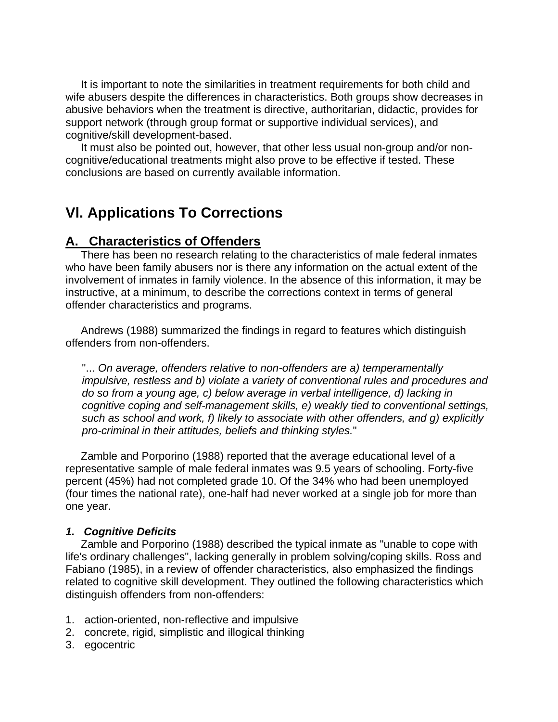It is important to note the similarities in treatment requirements for both child and wife abusers despite the differences in characteristics. Both groups show decreases in abusive behaviors when the treatment is directive, authoritarian, didactic, provides for support network (through group format or supportive individual services), and cognitive/skill development-based.

 It must also be pointed out, however, that other less usual non-group and/or noncognitive/educational treatments might also prove to be effective if tested. These conclusions are based on currently available information.

# **Vl. Applications To Corrections**

# **A. Characteristics of Offenders**

 There has been no research relating to the characteristics of male federal inmates who have been family abusers nor is there any information on the actual extent of the involvement of inmates in family violence. In the absence of this information, it may be instructive, at a minimum, to describe the corrections context in terms of general offender characteristics and programs.

 Andrews (1988) summarized the findings in regard to features which distinguish offenders from non-offenders.

"... *On average, offenders relative to non-offenders are a) temperamentally impulsive, restless and b) violate a variety of conventional rules and procedures and do so from a young age, c) below average in verbal intelligence, d) lacking in cognitive coping and self-management skills, e) weakly tied to conventional settings, such as school and work, f) likely to associate with other offenders, and g) explicitly pro-criminal in their attitudes, beliefs and thinking styles.*"

 Zamble and Porporino (1988) reported that the average educational level of a representative sample of male federal inmates was 9.5 years of schooling. Forty-five percent (45%) had not completed grade 10. Of the 34% who had been unemployed (four times the national rate), one-half had never worked at a single job for more than one year.

## *1. Cognitive Deficits*

 Zamble and Porporino (1988) described the typical inmate as "unable to cope with life's ordinary challenges", lacking generally in problem solving/coping skills. Ross and Fabiano (1985), in a review of offender characteristics, also emphasized the findings related to cognitive skill development. They outlined the following characteristics which distinguish offenders from non-offenders:

- 1. action-oriented, non-reflective and impulsive
- 2. concrete, rigid, simplistic and illogical thinking
- 3. egocentric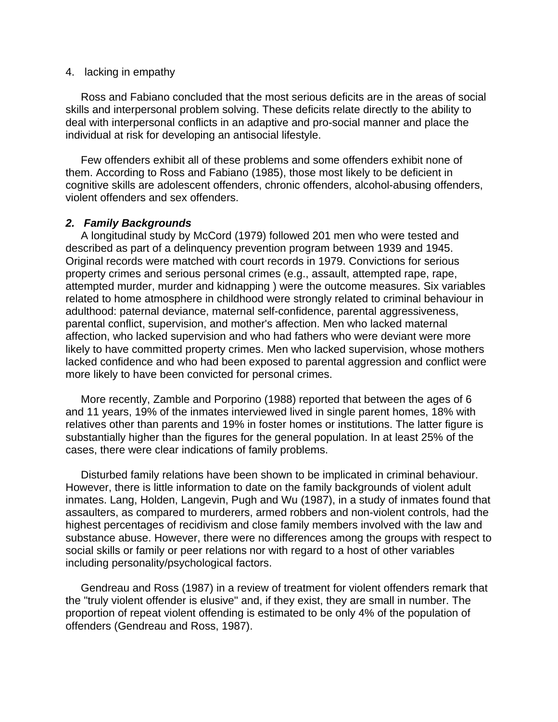#### 4. lacking in empathy

 Ross and Fabiano concluded that the most serious deficits are in the areas of social skills and interpersonal problem solving. These deficits relate directly to the ability to deal with interpersonal conflicts in an adaptive and pro-social manner and place the individual at risk for developing an antisocial lifestyle.

 Few offenders exhibit all of these problems and some offenders exhibit none of them. According to Ross and Fabiano (1985), those most likely to be deficient in cognitive skills are adolescent offenders, chronic offenders, alcohol-abusing offenders, violent offenders and sex offenders.

### *2. Family Backgrounds*

 A longitudinal study by McCord (1979) followed 201 men who were tested and described as part of a delinquency prevention program between 1939 and 1945. Original records were matched with court records in 1979. Convictions for serious property crimes and serious personal crimes (e.g., assault, attempted rape, rape, attempted murder, murder and kidnapping ) were the outcome measures. Six variables related to home atmosphere in childhood were strongly related to criminal behaviour in adulthood: paternal deviance, maternal self-confidence, parental aggressiveness, parental conflict, supervision, and mother's affection. Men who lacked maternal affection, who lacked supervision and who had fathers who were deviant were more likely to have committed property crimes. Men who lacked supervision, whose mothers lacked confidence and who had been exposed to parental aggression and conflict were more likely to have been convicted for personal crimes.

 More recently, Zamble and Porporino (1988) reported that between the ages of 6 and 11 years, 19% of the inmates interviewed lived in single parent homes, 18% with relatives other than parents and 19% in foster homes or institutions. The latter figure is substantially higher than the figures for the general population. In at least 25% of the cases, there were clear indications of family problems.

 Disturbed family relations have been shown to be implicated in criminal behaviour. However, there is little information to date on the family backgrounds of violent adult inmates. Lang, Holden, Langevin, Pugh and Wu (1987), in a study of inmates found that assaulters, as compared to murderers, armed robbers and non-violent controls, had the highest percentages of recidivism and close family members involved with the law and substance abuse. However, there were no differences among the groups with respect to social skills or family or peer relations nor with regard to a host of other variables including personality/psychological factors.

 Gendreau and Ross (1987) in a review of treatment for violent offenders remark that the "truly violent offender is elusive" and, if they exist, they are small in number. The proportion of repeat violent offending is estimated to be only 4% of the population of offenders (Gendreau and Ross, 1987).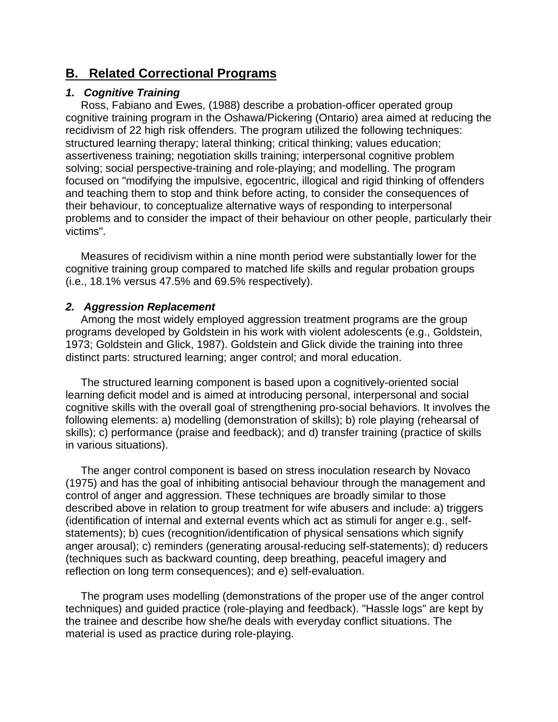# **B. Related Correctional Programs**

## *1. Cognitive Training*

 Ross, Fabiano and Ewes, (1988) describe a probation-officer operated group cognitive training program in the Oshawa/Pickering (Ontario) area aimed at reducing the recidivism of 22 high risk offenders. The program utilized the following techniques: structured learning therapy; lateral thinking; critical thinking; values education; assertiveness training; negotiation skills training; interpersonal cognitive problem solving; social perspective-training and role-playing; and modelling. The program focused on "modifying the impulsive, egocentric, illogical and rigid thinking of offenders and teaching them to stop and think before acting, to consider the consequences of their behaviour, to conceptualize alternative ways of responding to interpersonal problems and to consider the impact of their behaviour on other people, particularly their victims".

 Measures of recidivism within a nine month period were substantially lower for the cognitive training group compared to matched life skills and regular probation groups (i.e., 18.1% versus 47.5% and 69.5% respectively).

## *2. Aggression Replacement*

 Among the most widely employed aggression treatment programs are the group programs developed by Goldstein in his work with violent adolescents (e.g., Goldstein, 1973; Goldstein and Glick, 1987). Goldstein and Glick divide the training into three distinct parts: structured learning; anger control; and moral education.

 The structured learning component is based upon a cognitively-oriented social learning deficit model and is aimed at introducing personal, interpersonal and social cognitive skills with the overall goal of strengthening pro-social behaviors. It involves the following elements: a) modelling (demonstration of skills); b) role playing (rehearsal of skills); c) performance (praise and feedback); and d) transfer training (practice of skills in various situations).

 The anger control component is based on stress inoculation research by Novaco (1975) and has the goal of inhibiting antisocial behaviour through the management and control of anger and aggression. These techniques are broadly similar to those described above in relation to group treatment for wife abusers and include: a) triggers (identification of internal and external events which act as stimuli for anger e.g., selfstatements); b) cues (recognition/identification of physical sensations which signify anger arousal); c) reminders (generating arousal-reducing self-statements); d) reducers (techniques such as backward counting, deep breathing, peaceful imagery and reflection on long term consequences); and e) self-evaluation.

 The program uses modelling (demonstrations of the proper use of the anger control techniques) and guided practice (role-playing and feedback). "Hassle logs" are kept by the trainee and describe how she/he deals with everyday conflict situations. The material is used as practice during role-playing.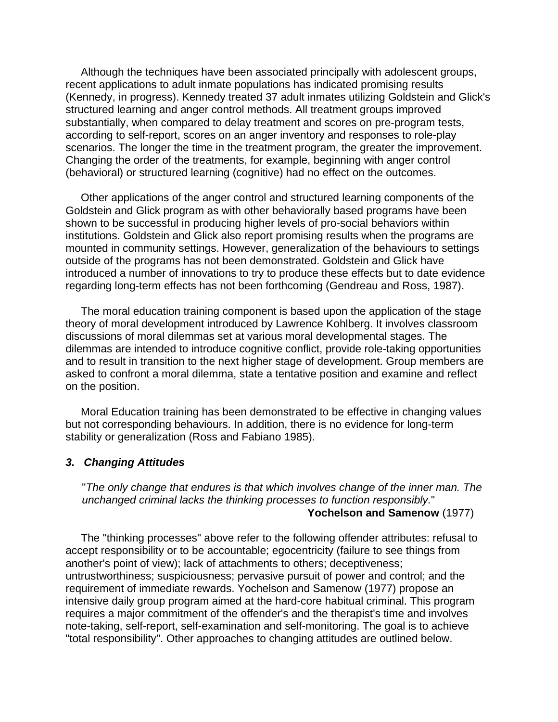Although the techniques have been associated principally with adolescent groups, recent applications to adult inmate populations has indicated promising results (Kennedy, in progress). Kennedy treated 37 adult inmates utilizing Goldstein and Glick's structured learning and anger control methods. All treatment groups improved substantially, when compared to delay treatment and scores on pre-program tests, according to self-report, scores on an anger inventory and responses to role-play scenarios. The longer the time in the treatment program, the greater the improvement. Changing the order of the treatments, for example, beginning with anger control (behavioral) or structured learning (cognitive) had no effect on the outcomes.

 Other applications of the anger control and structured learning components of the Goldstein and Glick program as with other behaviorally based programs have been shown to be successful in producing higher levels of pro-social behaviors within institutions. Goldstein and Glick also report promising results when the programs are mounted in community settings. However, generalization of the behaviours to settings outside of the programs has not been demonstrated. Goldstein and Glick have introduced a number of innovations to try to produce these effects but to date evidence regarding long-term effects has not been forthcoming (Gendreau and Ross, 1987).

 The moral education training component is based upon the application of the stage theory of moral development introduced by Lawrence Kohlberg. It involves classroom discussions of moral dilemmas set at various moral developmental stages. The dilemmas are intended to introduce cognitive conflict, provide role-taking opportunities and to result in transition to the next higher stage of development. Group members are asked to confront a moral dilemma, state a tentative position and examine and reflect on the position.

 Moral Education training has been demonstrated to be effective in changing values but not corresponding behaviours. In addition, there is no evidence for long-term stability or generalization (Ross and Fabiano 1985).

#### *3. Changing Attitudes*

"*The only change that endures is that which involves change of the inner man. The unchanged criminal lacks the thinking processes to function responsibly.*" **Yochelson and Samenow** (1977)

 The "thinking processes" above refer to the following offender attributes: refusal to accept responsibility or to be accountable; egocentricity (failure to see things from another's point of view); lack of attachments to others; deceptiveness; untrustworthiness; suspiciousness; pervasive pursuit of power and control; and the requirement of immediate rewards. Yochelson and Samenow (1977) propose an intensive daily group program aimed at the hard-core habitual criminal. This program requires a major commitment of the offender's and the therapist's time and involves note-taking, self-report, self-examination and self-monitoring. The goal is to achieve "total responsibility". Other approaches to changing attitudes are outlined below.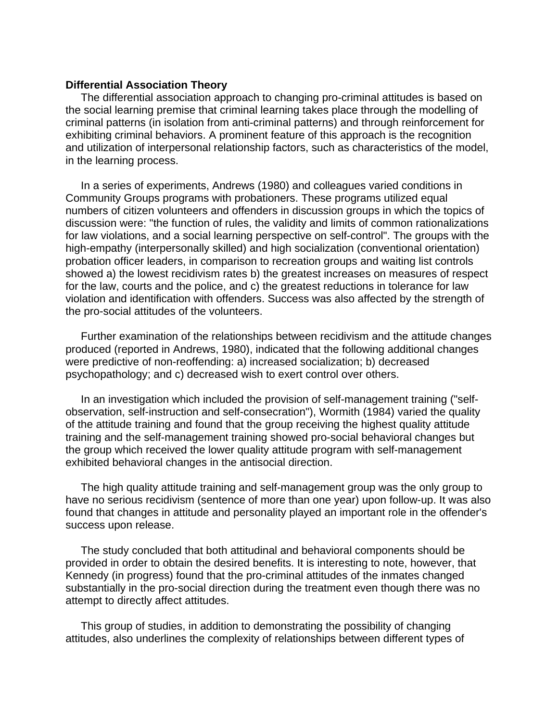#### **Differential Association Theory**

 The differential association approach to changing pro-criminal attitudes is based on the social learning premise that criminal learning takes place through the modelling of criminal patterns (in isolation from anti-criminal patterns) and through reinforcement for exhibiting criminal behaviors. A prominent feature of this approach is the recognition and utilization of interpersonal relationship factors, such as characteristics of the model, in the learning process.

 In a series of experiments, Andrews (1980) and colleagues varied conditions in Community Groups programs with probationers. These programs utilized equal numbers of citizen volunteers and offenders in discussion groups in which the topics of discussion were: "the function of rules, the validity and limits of common rationalizations for law violations, and a social learning perspective on self-control". The groups with the high-empathy (interpersonally skilled) and high socialization (conventional orientation) probation officer leaders, in comparison to recreation groups and waiting list controls showed a) the lowest recidivism rates b) the greatest increases on measures of respect for the law, courts and the police, and c) the greatest reductions in tolerance for law violation and identification with offenders. Success was also affected by the strength of the pro-social attitudes of the volunteers.

 Further examination of the relationships between recidivism and the attitude changes produced (reported in Andrews, 1980), indicated that the following additional changes were predictive of non-reoffending: a) increased socialization; b) decreased psychopathology; and c) decreased wish to exert control over others.

 In an investigation which included the provision of self-management training ("selfobservation, self-instruction and self-consecration"), Wormith (1984) varied the quality of the attitude training and found that the group receiving the highest quality attitude training and the self-management training showed pro-social behavioral changes but the group which received the lower quality attitude program with self-management exhibited behavioral changes in the antisocial direction.

 The high quality attitude training and self-management group was the only group to have no serious recidivism (sentence of more than one year) upon follow-up. It was also found that changes in attitude and personality played an important role in the offender's success upon release.

 The study concluded that both attitudinal and behavioral components should be provided in order to obtain the desired benefits. It is interesting to note, however, that Kennedy (in progress) found that the pro-criminal attitudes of the inmates changed substantially in the pro-social direction during the treatment even though there was no attempt to directly affect attitudes.

 This group of studies, in addition to demonstrating the possibility of changing attitudes, also underlines the complexity of relationships between different types of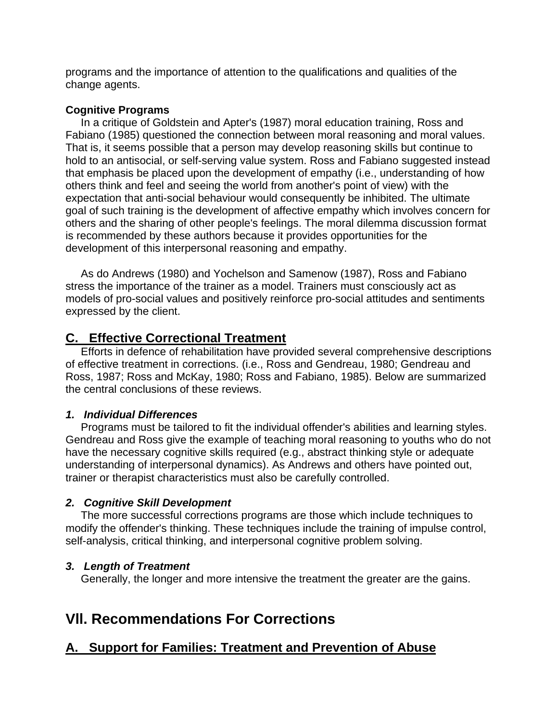programs and the importance of attention to the qualifications and qualities of the change agents.

## **Cognitive Programs**

 In a critique of Goldstein and Apter's (1987) moral education training, Ross and Fabiano (1985) questioned the connection between moral reasoning and moral values. That is, it seems possible that a person may develop reasoning skills but continue to hold to an antisocial, or self-serving value system. Ross and Fabiano suggested instead that emphasis be placed upon the development of empathy (i.e., understanding of how others think and feel and seeing the world from another's point of view) with the expectation that anti-social behaviour would consequently be inhibited. The ultimate goal of such training is the development of affective empathy which involves concern for others and the sharing of other people's feelings. The moral dilemma discussion format is recommended by these authors because it provides opportunities for the development of this interpersonal reasoning and empathy.

 As do Andrews (1980) and Yochelson and Samenow (1987), Ross and Fabiano stress the importance of the trainer as a model. Trainers must consciously act as models of pro-social values and positively reinforce pro-social attitudes and sentiments expressed by the client.

# **C. Effective Correctional Treatment**

 Efforts in defence of rehabilitation have provided several comprehensive descriptions of effective treatment in corrections. (i.e., Ross and Gendreau, 1980; Gendreau and Ross, 1987; Ross and McKay, 1980; Ross and Fabiano, 1985). Below are summarized the central conclusions of these reviews.

## *1. Individual Differences*

 Programs must be tailored to fit the individual offender's abilities and learning styles. Gendreau and Ross give the example of teaching moral reasoning to youths who do not have the necessary cognitive skills required (e.g., abstract thinking style or adequate understanding of interpersonal dynamics). As Andrews and others have pointed out, trainer or therapist characteristics must also be carefully controlled.

## *2. Cognitive Skill Development*

 The more successful corrections programs are those which include techniques to modify the offender's thinking. These techniques include the training of impulse control, self-analysis, critical thinking, and interpersonal cognitive problem solving.

# *3. Length of Treatment*

Generally, the longer and more intensive the treatment the greater are the gains.

# **Vll. Recommendations For Corrections**

# **A. Support for Families: Treatment and Prevention of Abuse**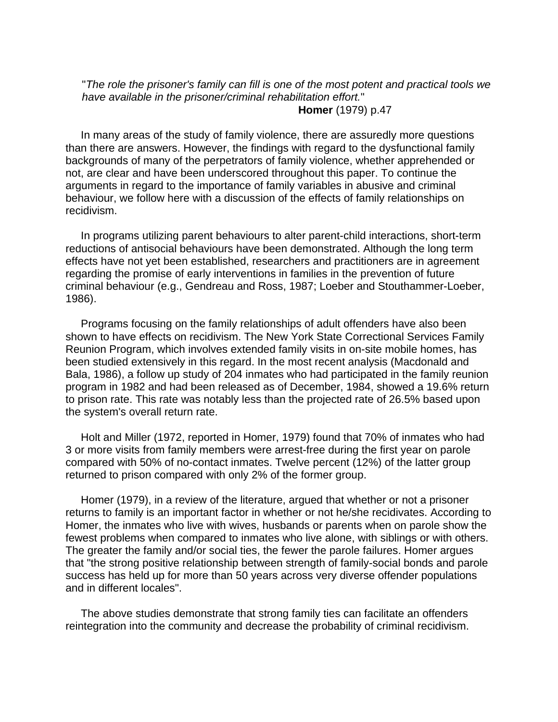"*The role the prisoner's family can fill is one of the most potent and practical tools we have available in the prisoner/criminal rehabilitation effort.*" **Homer** (1979) p.47

 In many areas of the study of family violence, there are assuredly more questions than there are answers. However, the findings with regard to the dysfunctional family backgrounds of many of the perpetrators of family violence, whether apprehended or not, are clear and have been underscored throughout this paper. To continue the arguments in regard to the importance of family variables in abusive and criminal behaviour, we follow here with a discussion of the effects of family relationships on recidivism.

 In programs utilizing parent behaviours to alter parent-child interactions, short-term reductions of antisocial behaviours have been demonstrated. Although the long term effects have not yet been established, researchers and practitioners are in agreement regarding the promise of early interventions in families in the prevention of future criminal behaviour (e.g., Gendreau and Ross, 1987; Loeber and Stouthammer-Loeber, 1986).

 Programs focusing on the family relationships of adult offenders have also been shown to have effects on recidivism. The New York State Correctional Services Family Reunion Program, which involves extended family visits in on-site mobile homes, has been studied extensively in this regard. In the most recent analysis (Macdonald and Bala, 1986), a follow up study of 204 inmates who had participated in the family reunion program in 1982 and had been released as of December, 1984, showed a 19.6% return to prison rate. This rate was notably less than the projected rate of 26.5% based upon the system's overall return rate.

 Holt and Miller (1972, reported in Homer, 1979) found that 70% of inmates who had 3 or more visits from family members were arrest-free during the first year on parole compared with 50% of no-contact inmates. Twelve percent (12%) of the latter group returned to prison compared with only 2% of the former group.

 Homer (1979), in a review of the literature, argued that whether or not a prisoner returns to family is an important factor in whether or not he/she recidivates. According to Homer, the inmates who live with wives, husbands or parents when on parole show the fewest problems when compared to inmates who live alone, with siblings or with others. The greater the family and/or social ties, the fewer the parole failures. Homer argues that "the strong positive relationship between strength of family-social bonds and parole success has held up for more than 50 years across very diverse offender populations and in different locales".

 The above studies demonstrate that strong family ties can facilitate an offenders reintegration into the community and decrease the probability of criminal recidivism.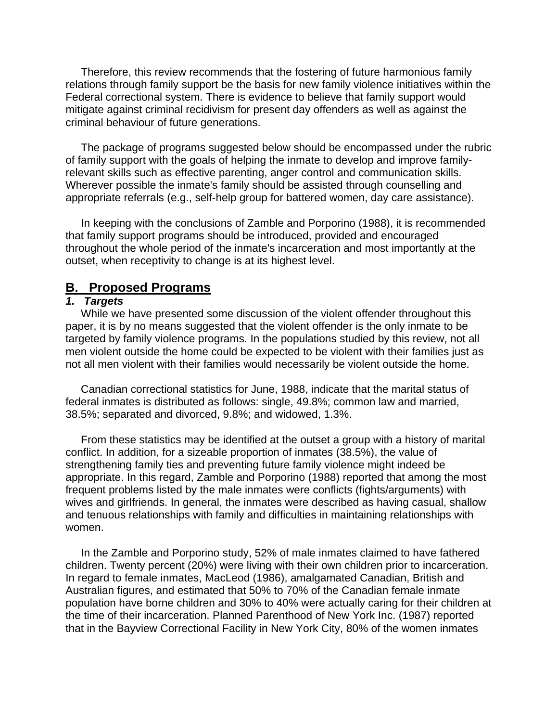Therefore, this review recommends that the fostering of future harmonious family relations through family support be the basis for new family violence initiatives within the Federal correctional system. There is evidence to believe that family support would mitigate against criminal recidivism for present day offenders as well as against the criminal behaviour of future generations.

 The package of programs suggested below should be encompassed under the rubric of family support with the goals of helping the inmate to develop and improve familyrelevant skills such as effective parenting, anger control and communication skills. Wherever possible the inmate's family should be assisted through counselling and appropriate referrals (e.g., self-help group for battered women, day care assistance).

 In keeping with the conclusions of Zamble and Porporino (1988), it is recommended that family support programs should be introduced, provided and encouraged throughout the whole period of the inmate's incarceration and most importantly at the outset, when receptivity to change is at its highest level.

# **B. Proposed Programs**

#### *1. Targets*

 While we have presented some discussion of the violent offender throughout this paper, it is by no means suggested that the violent offender is the only inmate to be targeted by family violence programs. In the populations studied by this review, not all men violent outside the home could be expected to be violent with their families just as not all men violent with their families would necessarily be violent outside the home.

 Canadian correctional statistics for June, 1988, indicate that the marital status of federal inmates is distributed as follows: single, 49.8%; common law and married, 38.5%; separated and divorced, 9.8%; and widowed, 1.3%.

 From these statistics may be identified at the outset a group with a history of marital conflict. In addition, for a sizeable proportion of inmates (38.5%), the value of strengthening family ties and preventing future family violence might indeed be appropriate. In this regard, Zamble and Porporino (1988) reported that among the most frequent problems listed by the male inmates were conflicts (fights/arguments) with wives and girlfriends. In general, the inmates were described as having casual, shallow and tenuous relationships with family and difficulties in maintaining relationships with women.

 In the Zamble and Porporino study, 52% of male inmates claimed to have fathered children. Twenty percent (20%) were living with their own children prior to incarceration. In regard to female inmates, MacLeod (1986), amalgamated Canadian, British and Australian figures, and estimated that 50% to 70% of the Canadian female inmate population have borne children and 30% to 40% were actually caring for their children at the time of their incarceration. Planned Parenthood of New York Inc. (1987) reported that in the Bayview Correctional Facility in New York City, 80% of the women inmates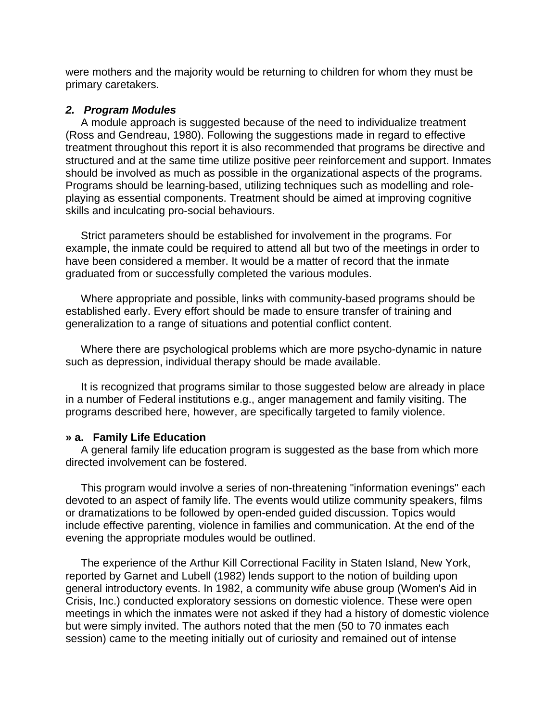were mothers and the majority would be returning to children for whom they must be primary caretakers.

### *2. Program Modules*

 A module approach is suggested because of the need to individualize treatment (Ross and Gendreau, 1980). Following the suggestions made in regard to effective treatment throughout this report it is also recommended that programs be directive and structured and at the same time utilize positive peer reinforcement and support. Inmates should be involved as much as possible in the organizational aspects of the programs. Programs should be learning-based, utilizing techniques such as modelling and roleplaying as essential components. Treatment should be aimed at improving cognitive skills and inculcating pro-social behaviours.

 Strict parameters should be established for involvement in the programs. For example, the inmate could be required to attend all but two of the meetings in order to have been considered a member. It would be a matter of record that the inmate graduated from or successfully completed the various modules.

 Where appropriate and possible, links with community-based programs should be established early. Every effort should be made to ensure transfer of training and generalization to a range of situations and potential conflict content.

 Where there are psychological problems which are more psycho-dynamic in nature such as depression, individual therapy should be made available.

 It is recognized that programs similar to those suggested below are already in place in a number of Federal institutions e.g., anger management and family visiting. The programs described here, however, are specifically targeted to family violence.

#### **» a. Family Life Education**

 A general family life education program is suggested as the base from which more directed involvement can be fostered.

 This program would involve a series of non-threatening "information evenings" each devoted to an aspect of family life. The events would utilize community speakers, films or dramatizations to be followed by open-ended guided discussion. Topics would include effective parenting, violence in families and communication. At the end of the evening the appropriate modules would be outlined.

 The experience of the Arthur Kill Correctional Facility in Staten Island, New York, reported by Garnet and Lubell (1982) lends support to the notion of building upon general introductory events. In 1982, a community wife abuse group (Women's Aid in Crisis, Inc.) conducted exploratory sessions on domestic violence. These were open meetings in which the inmates were not asked if they had a history of domestic violence but were simply invited. The authors noted that the men (50 to 70 inmates each session) came to the meeting initially out of curiosity and remained out of intense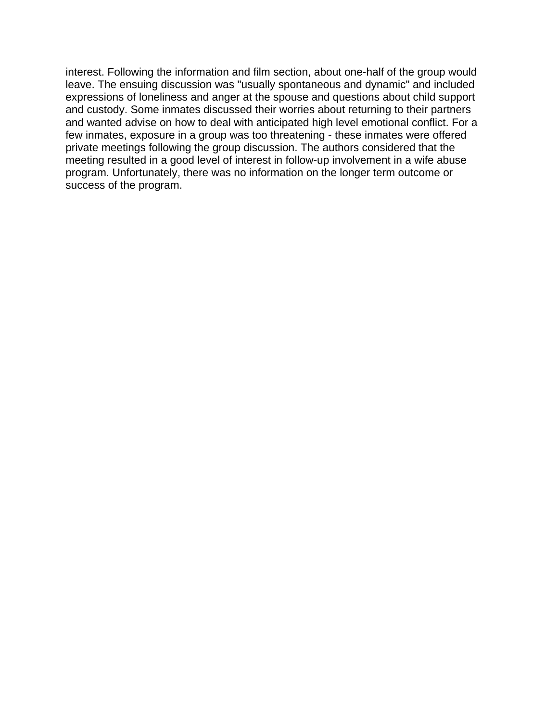interest. Following the information and film section, about one-half of the group would leave. The ensuing discussion was "usually spontaneous and dynamic" and included expressions of loneliness and anger at the spouse and questions about child support and custody. Some inmates discussed their worries about returning to their partners and wanted advise on how to deal with anticipated high level emotional conflict. For a few inmates, exposure in a group was too threatening - these inmates were offered private meetings following the group discussion. The authors considered that the meeting resulted in a good level of interest in follow-up involvement in a wife abuse program. Unfortunately, there was no information on the longer term outcome or success of the program.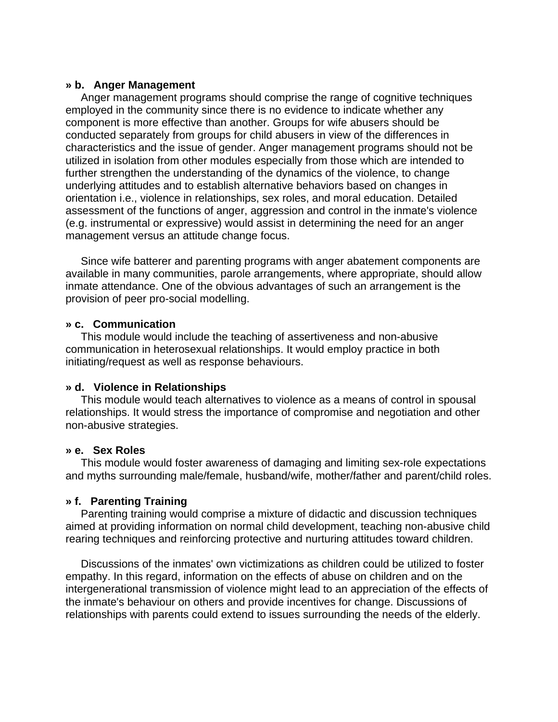#### **» b. Anger Management**

 Anger management programs should comprise the range of cognitive techniques employed in the community since there is no evidence to indicate whether any component is more effective than another. Groups for wife abusers should be conducted separately from groups for child abusers in view of the differences in characteristics and the issue of gender. Anger management programs should not be utilized in isolation from other modules especially from those which are intended to further strengthen the understanding of the dynamics of the violence, to change underlying attitudes and to establish alternative behaviors based on changes in orientation i.e., violence in relationships, sex roles, and moral education. Detailed assessment of the functions of anger, aggression and control in the inmate's violence (e.g. instrumental or expressive) would assist in determining the need for an anger management versus an attitude change focus.

 Since wife batterer and parenting programs with anger abatement components are available in many communities, parole arrangements, where appropriate, should allow inmate attendance. One of the obvious advantages of such an arrangement is the provision of peer pro-social modelling.

#### **» c. Communication**

 This module would include the teaching of assertiveness and non-abusive communication in heterosexual relationships. It would employ practice in both initiating/request as well as response behaviours.

#### **» d. Violence in Relationships**

 This module would teach alternatives to violence as a means of control in spousal relationships. It would stress the importance of compromise and negotiation and other non-abusive strategies.

#### **» e. Sex Roles**

 This module would foster awareness of damaging and limiting sex-role expectations and myths surrounding male/female, husband/wife, mother/father and parent/child roles.

## **» f. Parenting Training**

 Parenting training would comprise a mixture of didactic and discussion techniques aimed at providing information on normal child development, teaching non-abusive child rearing techniques and reinforcing protective and nurturing attitudes toward children.

 Discussions of the inmates' own victimizations as children could be utilized to foster empathy. In this regard, information on the effects of abuse on children and on the intergenerational transmission of violence might lead to an appreciation of the effects of the inmate's behaviour on others and provide incentives for change. Discussions of relationships with parents could extend to issues surrounding the needs of the elderly.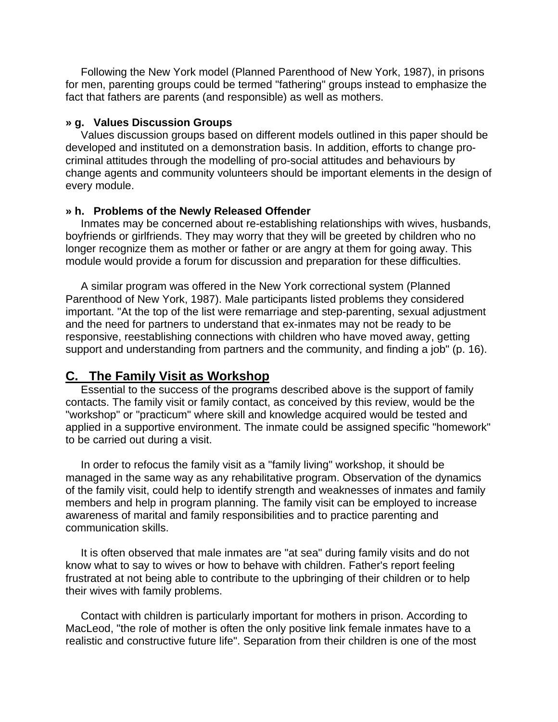Following the New York model (Planned Parenthood of New York, 1987), in prisons for men, parenting groups could be termed "fathering" groups instead to emphasize the fact that fathers are parents (and responsible) as well as mothers.

#### **» g. Values Discussion Groups**

 Values discussion groups based on different models outlined in this paper should be developed and instituted on a demonstration basis. In addition, efforts to change procriminal attitudes through the modelling of pro-social attitudes and behaviours by change agents and community volunteers should be important elements in the design of every module.

### **» h. Problems of the Newly Released Offender**

 Inmates may be concerned about re-establishing relationships with wives, husbands, boyfriends or girlfriends. They may worry that they will be greeted by children who no longer recognize them as mother or father or are angry at them for going away. This module would provide a forum for discussion and preparation for these difficulties.

 A similar program was offered in the New York correctional system (Planned Parenthood of New York, 1987). Male participants listed problems they considered important. "At the top of the list were remarriage and step-parenting, sexual adjustment and the need for partners to understand that ex-inmates may not be ready to be responsive, reestablishing connections with children who have moved away, getting support and understanding from partners and the community, and finding a job" (p. 16).

# **C. The Family Visit as Workshop**

 Essential to the success of the programs described above is the support of family contacts. The family visit or family contact, as conceived by this review, would be the "workshop" or "practicum" where skill and knowledge acquired would be tested and applied in a supportive environment. The inmate could be assigned specific "homework" to be carried out during a visit.

 In order to refocus the family visit as a "family living" workshop, it should be managed in the same way as any rehabilitative program. Observation of the dynamics of the family visit, could help to identify strength and weaknesses of inmates and family members and help in program planning. The family visit can be employed to increase awareness of marital and family responsibilities and to practice parenting and communication skills.

 It is often observed that male inmates are "at sea" during family visits and do not know what to say to wives or how to behave with children. Father's report feeling frustrated at not being able to contribute to the upbringing of their children or to help their wives with family problems.

 Contact with children is particularly important for mothers in prison. According to MacLeod, "the role of mother is often the only positive link female inmates have to a realistic and constructive future life". Separation from their children is one of the most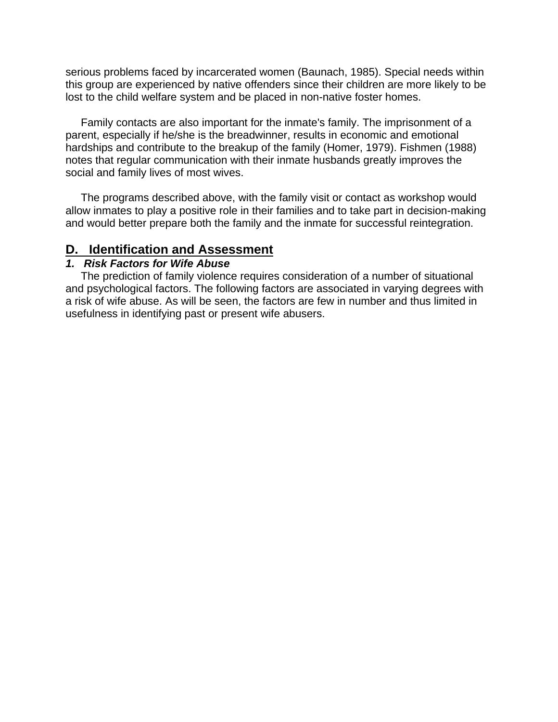serious problems faced by incarcerated women (Baunach, 1985). Special needs within this group are experienced by native offenders since their children are more likely to be lost to the child welfare system and be placed in non-native foster homes.

 Family contacts are also important for the inmate's family. The imprisonment of a parent, especially if he/she is the breadwinner, results in economic and emotional hardships and contribute to the breakup of the family (Homer, 1979). Fishmen (1988) notes that regular communication with their inmate husbands greatly improves the social and family lives of most wives.

 The programs described above, with the family visit or contact as workshop would allow inmates to play a positive role in their families and to take part in decision-making and would better prepare both the family and the inmate for successful reintegration.

# **D. Identification and Assessment**

#### *1. Risk Factors for Wife Abuse*

 The prediction of family violence requires consideration of a number of situational and psychological factors. The following factors are associated in varying degrees with a risk of wife abuse. As will be seen, the factors are few in number and thus limited in usefulness in identifying past or present wife abusers.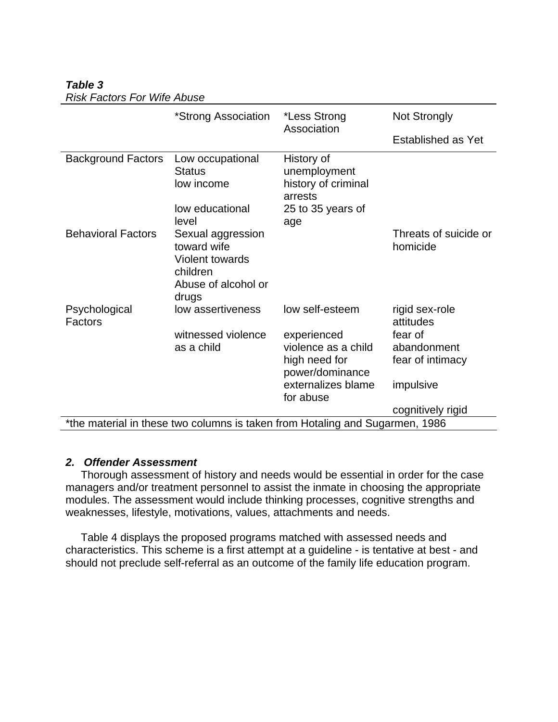|                                                                              | *Strong Association                                                                                    | *Less Strong<br>Association                                                              | <b>Not Strongly</b>                        |  |
|------------------------------------------------------------------------------|--------------------------------------------------------------------------------------------------------|------------------------------------------------------------------------------------------|--------------------------------------------|--|
|                                                                              |                                                                                                        |                                                                                          | Established as Yet                         |  |
| <b>Background Factors</b>                                                    | Low occupational<br><b>Status</b><br>low income<br>low educational<br>level                            | History of<br>unemployment<br>history of criminal<br>arrests<br>25 to 35 years of<br>age |                                            |  |
| <b>Behavioral Factors</b>                                                    | Sexual aggression<br>toward wife<br><b>Violent towards</b><br>children<br>Abuse of alcohol or<br>drugs |                                                                                          | Threats of suicide or<br>homicide          |  |
| Psychological<br>Factors                                                     | low assertiveness                                                                                      | low self-esteem                                                                          | rigid sex-role<br>attitudes                |  |
|                                                                              | witnessed violence<br>as a child                                                                       | experienced<br>violence as a child<br>high need for<br>power/dominance                   | fear of<br>abandonment<br>fear of intimacy |  |
|                                                                              |                                                                                                        | externalizes blame<br>for abuse                                                          | impulsive                                  |  |
|                                                                              |                                                                                                        |                                                                                          | cognitively rigid                          |  |
| *the material in these two columns is taken from Hotaling and Sugarmen, 1986 |                                                                                                        |                                                                                          |                                            |  |

### *Table 3 Risk Factors For Wife Abuse*

## *2. Offender Assessment*

 Thorough assessment of history and needs would be essential in order for the case managers and/or treatment personnel to assist the inmate in choosing the appropriate modules. The assessment would include thinking processes, cognitive strengths and weaknesses, lifestyle, motivations, values, attachments and needs.

 Table 4 displays the proposed programs matched with assessed needs and characteristics. This scheme is a first attempt at a guideline - is tentative at best - and should not preclude self-referral as an outcome of the family life education program.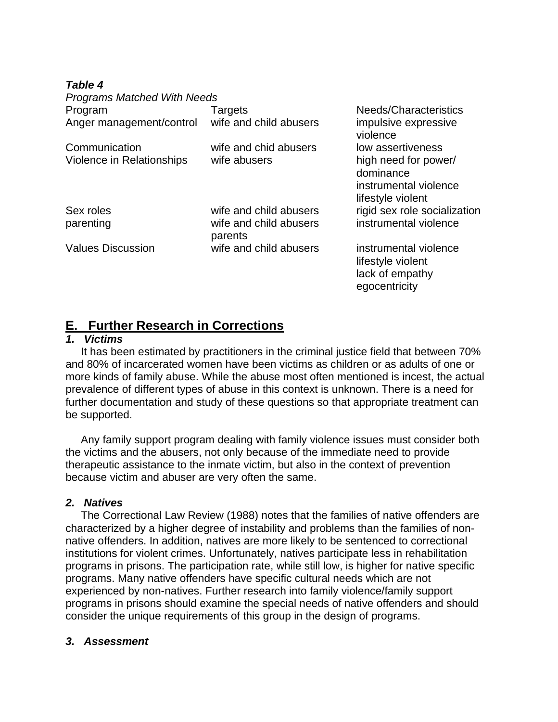## *Table 4*

*Programs Matched With Needs* Program Targets Targets Needs/Characteristics Anger management/control wife and child abusers impulsive expressive violence Communication wife and chid abusers low assertiveness Violence in Relationships wife abusers high need for power/ dominance instrumental violence lifestyle violent Sex roles wife and child abusers rigid sex role socialization parenting wife and child abusers instrumental violence parents Values Discussion wife and child abusers instrumental violence lifestyle violent lack of empathy egocentricity

# **E. Further Research in Corrections**

### *1. Victims*

 It has been estimated by practitioners in the criminal justice field that between 70% and 80% of incarcerated women have been victims as children or as adults of one or more kinds of family abuse. While the abuse most often mentioned is incest, the actual prevalence of different types of abuse in this context is unknown. There is a need for further documentation and study of these questions so that appropriate treatment can be supported.

 Any family support program dealing with family violence issues must consider both the victims and the abusers, not only because of the immediate need to provide therapeutic assistance to the inmate victim, but also in the context of prevention because victim and abuser are very often the same.

## *2. Natives*

 The Correctional Law Review (1988) notes that the families of native offenders are characterized by a higher degree of instability and problems than the families of nonnative offenders. In addition, natives are more likely to be sentenced to correctional institutions for violent crimes. Unfortunately, natives participate less in rehabilitation programs in prisons. The participation rate, while still low, is higher for native specific programs. Many native offenders have specific cultural needs which are not experienced by non-natives. Further research into family violence/family support programs in prisons should examine the special needs of native offenders and should consider the unique requirements of this group in the design of programs.

#### *3. Assessment*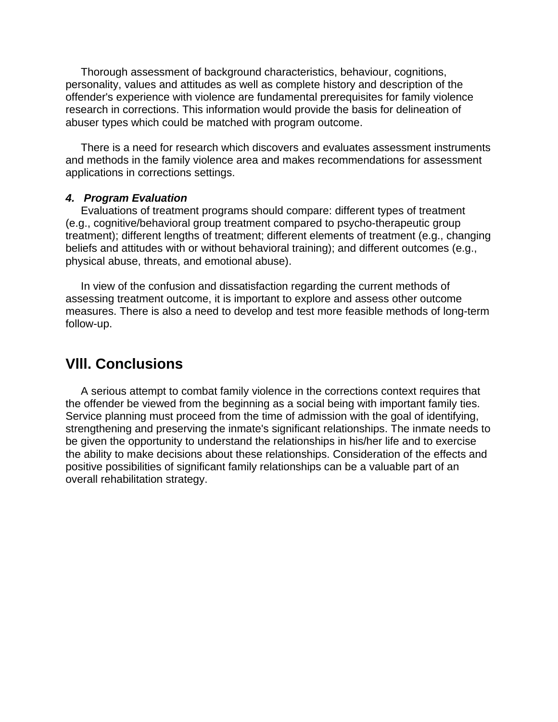Thorough assessment of background characteristics, behaviour, cognitions, personality, values and attitudes as well as complete history and description of the offender's experience with violence are fundamental prerequisites for family violence research in corrections. This information would provide the basis for delineation of abuser types which could be matched with program outcome.

 There is a need for research which discovers and evaluates assessment instruments and methods in the family violence area and makes recommendations for assessment applications in corrections settings.

#### *4. Program Evaluation*

 Evaluations of treatment programs should compare: different types of treatment (e.g., cognitive/behavioral group treatment compared to psycho-therapeutic group treatment); different lengths of treatment; different elements of treatment (e.g., changing beliefs and attitudes with or without behavioral training); and different outcomes (e.g., physical abuse, threats, and emotional abuse).

 In view of the confusion and dissatisfaction regarding the current methods of assessing treatment outcome, it is important to explore and assess other outcome measures. There is also a need to develop and test more feasible methods of long-term follow-up.

# **Vlll. Conclusions**

 A serious attempt to combat family violence in the corrections context requires that the offender be viewed from the beginning as a social being with important family ties. Service planning must proceed from the time of admission with the goal of identifying, strengthening and preserving the inmate's significant relationships. The inmate needs to be given the opportunity to understand the relationships in his/her life and to exercise the ability to make decisions about these relationships. Consideration of the effects and positive possibilities of significant family relationships can be a valuable part of an overall rehabilitation strategy.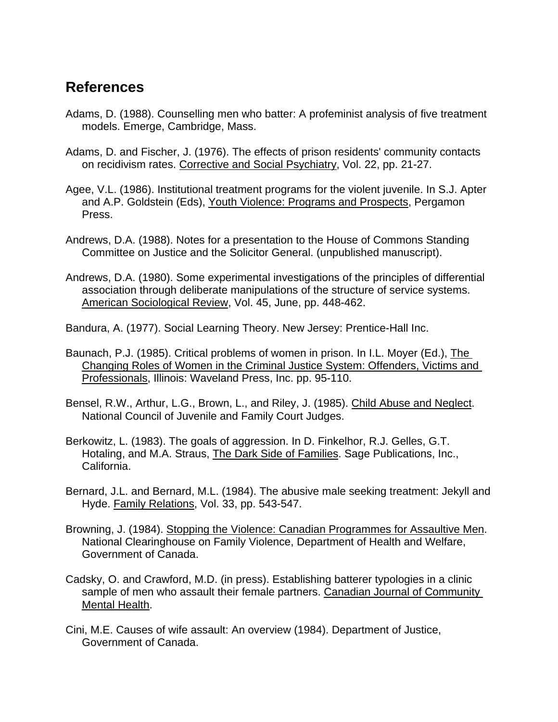# **References**

- Adams, D. (1988). Counselling men who batter: A profeminist analysis of five treatment models. Emerge, Cambridge, Mass.
- Adams, D. and Fischer, J. (1976). The effects of prison residents' community contacts on recidivism rates. Corrective and Social Psychiatry, Vol. 22, pp. 21-27.
- Agee, V.L. (1986). Institutional treatment programs for the violent juvenile. In S.J. Apter and A.P. Goldstein (Eds), Youth Violence: Programs and Prospects, Pergamon Press.
- Andrews, D.A. (1988). Notes for a presentation to the House of Commons Standing Committee on Justice and the Solicitor General. (unpublished manuscript).
- Andrews, D.A. (1980). Some experimental investigations of the principles of differential association through deliberate manipulations of the structure of service systems. American Sociological Review, Vol. 45, June, pp. 448-462.
- Bandura, A. (1977). Social Learning Theory. New Jersey: Prentice-Hall Inc.
- Baunach, P.J. (1985). Critical problems of women in prison. In I.L. Moyer (Ed.), The Changing Roles of Women in the Criminal Justice System: Offenders, Victims and Professionals, Illinois: Waveland Press, Inc. pp. 95-110.
- Bensel, R.W., Arthur, L.G., Brown, L., and Riley, J. (1985). Child Abuse and Neglect. National Council of Juvenile and Family Court Judges.
- Berkowitz, L. (1983). The goals of aggression. In D. Finkelhor, R.J. Gelles, G.T. Hotaling, and M.A. Straus, The Dark Side of Families. Sage Publications, Inc., California.
- Bernard, J.L. and Bernard, M.L. (1984). The abusive male seeking treatment: Jekyll and Hyde. Family Relations, Vol. 33, pp. 543-547.
- Browning, J. (1984). Stopping the Violence: Canadian Programmes for Assaultive Men. National Clearinghouse on Family Violence, Department of Health and Welfare, Government of Canada.
- Cadsky, O. and Crawford, M.D. (in press). Establishing batterer typologies in a clinic sample of men who assault their female partners. Canadian Journal of Community Mental Health.
- Cini, M.E. Causes of wife assault: An overview (1984). Department of Justice, Government of Canada.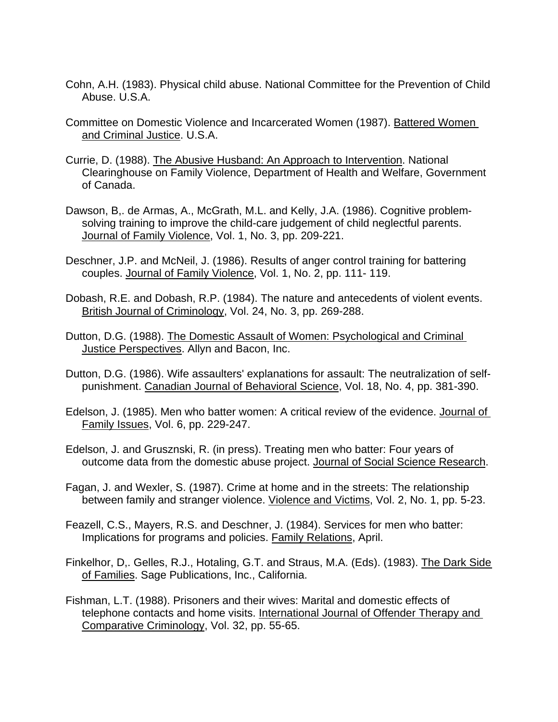- Cohn, A.H. (1983). Physical child abuse. National Committee for the Prevention of Child Abuse. U.S.A.
- Committee on Domestic Violence and Incarcerated Women (1987). Battered Women and Criminal Justice. U.S.A.
- Currie, D. (1988). The Abusive Husband: An Approach to Intervention. National Clearinghouse on Family Violence, Department of Health and Welfare, Government of Canada.
- Dawson, B,. de Armas, A., McGrath, M.L. and Kelly, J.A. (1986). Cognitive problemsolving training to improve the child-care judgement of child neglectful parents. Journal of Family Violence, Vol. 1, No. 3, pp. 209-221.
- Deschner, J.P. and McNeil, J. (1986). Results of anger control training for battering couples. Journal of Family Violence, Vol. 1, No. 2, pp. 111- 119.
- Dobash, R.E. and Dobash, R.P. (1984). The nature and antecedents of violent events. British Journal of Criminology, Vol. 24, No. 3, pp. 269-288.
- Dutton, D.G. (1988). The Domestic Assault of Women: Psychological and Criminal Justice Perspectives. Allyn and Bacon, Inc.
- Dutton, D.G. (1986). Wife assaulters' explanations for assault: The neutralization of selfpunishment. Canadian Journal of Behavioral Science, Vol. 18, No. 4, pp. 381-390.
- Edelson, J. (1985). Men who batter women: A critical review of the evidence. Journal of Family Issues, Vol. 6, pp. 229-247.
- Edelson, J. and Grusznski, R. (in press). Treating men who batter: Four years of outcome data from the domestic abuse project. Journal of Social Science Research.
- Fagan, J. and Wexler, S. (1987). Crime at home and in the streets: The relationship between family and stranger violence. Violence and Victims, Vol. 2, No. 1, pp. 5-23.
- Feazell, C.S., Mayers, R.S. and Deschner, J. (1984). Services for men who batter: Implications for programs and policies. Family Relations, April.
- Finkelhor, D,. Gelles, R.J., Hotaling, G.T. and Straus, M.A. (Eds). (1983). The Dark Side of Families. Sage Publications, Inc., California.
- Fishman, L.T. (1988). Prisoners and their wives: Marital and domestic effects of telephone contacts and home visits. International Journal of Offender Therapy and Comparative Criminology, Vol. 32, pp. 55-65.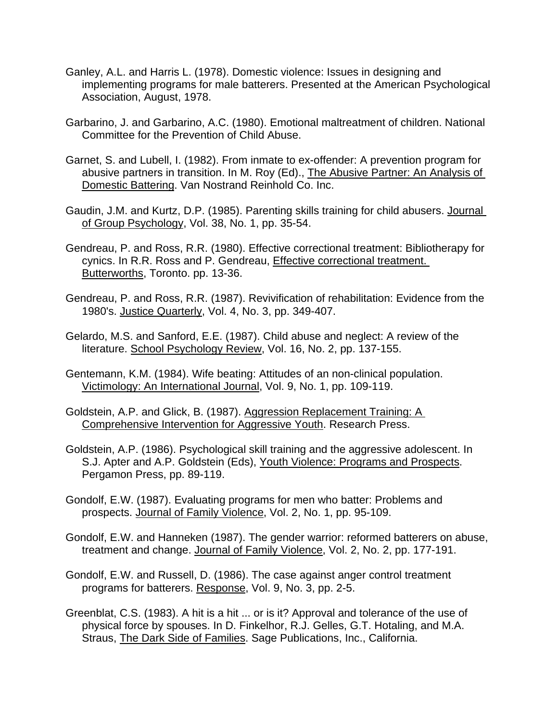- Ganley, A.L. and Harris L. (1978). Domestic violence: Issues in designing and implementing programs for male batterers. Presented at the American Psychological Association, August, 1978.
- Garbarino, J. and Garbarino, A.C. (1980). Emotional maltreatment of children. National Committee for the Prevention of Child Abuse.
- Garnet, S. and Lubell, I. (1982). From inmate to ex-offender: A prevention program for abusive partners in transition. In M. Roy (Ed)., The Abusive Partner: An Analysis of Domestic Battering. Van Nostrand Reinhold Co. Inc.
- Gaudin, J.M. and Kurtz, D.P. (1985). Parenting skills training for child abusers. Journal of Group Psychology, Vol. 38, No. 1, pp. 35-54.
- Gendreau, P. and Ross, R.R. (1980). Effective correctional treatment: Bibliotherapy for cynics. In R.R. Ross and P. Gendreau, Effective correctional treatment. Butterworths, Toronto. pp. 13-36.
- Gendreau, P. and Ross, R.R. (1987). Revivification of rehabilitation: Evidence from the 1980's. Justice Quarterly, Vol. 4, No. 3, pp. 349-407.
- Gelardo, M.S. and Sanford, E.E. (1987). Child abuse and neglect: A review of the literature. School Psychology Review, Vol. 16, No. 2, pp. 137-155.
- Gentemann, K.M. (1984). Wife beating: Attitudes of an non-clinical population. Victimology: An International Journal, Vol. 9, No. 1, pp. 109-119.
- Goldstein, A.P. and Glick, B. (1987). Aggression Replacement Training: A Comprehensive Intervention for Aggressive Youth. Research Press.
- Goldstein, A.P. (1986). Psychological skill training and the aggressive adolescent. In S.J. Apter and A.P. Goldstein (Eds), Youth Violence: Programs and Prospects. Pergamon Press, pp. 89-119.
- Gondolf, E.W. (1987). Evaluating programs for men who batter: Problems and prospects. Journal of Family Violence, Vol. 2, No. 1, pp. 95-109.
- Gondolf, E.W. and Hanneken (1987). The gender warrior: reformed batterers on abuse, treatment and change. Journal of Family Violence, Vol. 2, No. 2, pp. 177-191.
- Gondolf, E.W. and Russell, D. (1986). The case against anger control treatment programs for batterers. Response, Vol. 9, No. 3, pp. 2-5.
- Greenblat, C.S. (1983). A hit is a hit ... or is it? Approval and tolerance of the use of physical force by spouses. In D. Finkelhor, R.J. Gelles, G.T. Hotaling, and M.A. Straus, The Dark Side of Families. Sage Publications, Inc., California.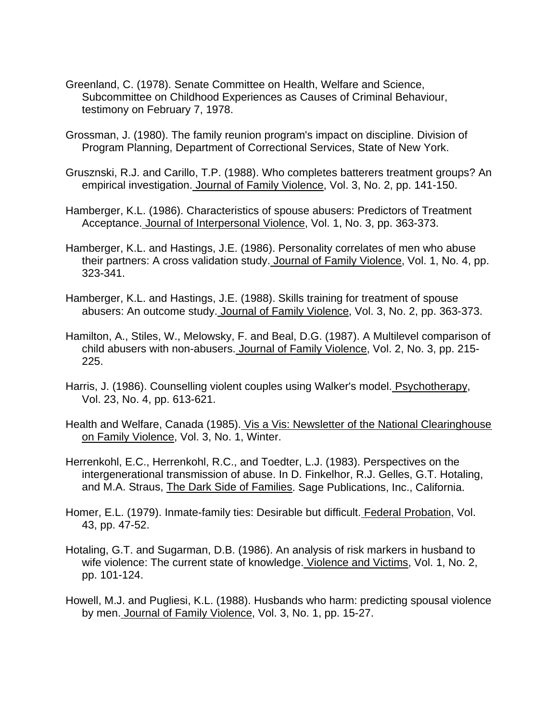- Greenland, C. (1978). Senate Committee on Health, Welfare and Science, Subcommittee on Childhood Experiences as Causes of Criminal Behaviour, testimony on February 7, 1978.
- Grossman, J. (1980). The family reunion program's impact on discipline. Division of Program Planning, Department of Correctional Services, State of New York.
- Grusznski, R.J. and Carillo, T.P. (1988). Who completes batterers treatment groups? An empirical investigation. Journal of Family Violence, Vol. 3, No. 2, pp. 141-150.
- Hamberger, K.L. (1986). Characteristics of spouse abusers: Predictors of Treatment Acceptance. Journal of Interpersonal Violence, Vol. 1, No. 3, pp. 363-373.
- Hamberger, K.L. and Hastings, J.E. (1986). Personality correlates of men who abuse their partners: A cross validation study. Journal of Family Violence, Vol. 1, No. 4, pp. 323-341.
- Hamberger, K.L. and Hastings, J.E. (1988). Skills training for treatment of spouse abusers: An outcome study. Journal of Family Violence, Vol. 3, No. 2, pp. 363-373.
- Hamilton, A., Stiles, W., Melowsky, F. and Beal, D.G. (1987). A Multilevel comparison of child abusers with non-abusers. Journal of Family Violence, Vol. 2, No. 3, pp. 215- 225.
- Harris, J. (1986). Counselling violent couples using Walker's model. Psychotherapy, Vol. 23, No. 4, pp. 613-621.
- Health and Welfare, Canada (1985). Vis a Vis: Newsletter of the National Clearinghouse on Family Violence, Vol. 3, No. 1, Winter.
- Herrenkohl, E.C., Herrenkohl, R.C., and Toedter, L.J. (1983). Perspectives on the intergenerational transmission of abuse. In D. Finkelhor, R.J. Gelles, G.T. Hotaling, and M.A. Straus, The Dark Side of Families. Sage Publications, Inc., California.
- Homer, E.L. (1979). Inmate-family ties: Desirable but difficult. Federal Probation, Vol. 43, pp. 47-52.
- Hotaling, G.T. and Sugarman, D.B. (1986). An analysis of risk markers in husband to wife violence: The current state of knowledge. Violence and Victims, Vol. 1, No. 2, pp. 101-124.
- Howell, M.J. and Pugliesi, K.L. (1988). Husbands who harm: predicting spousal violence by men. Journal of Family Violence, Vol. 3, No. 1, pp. 15-27.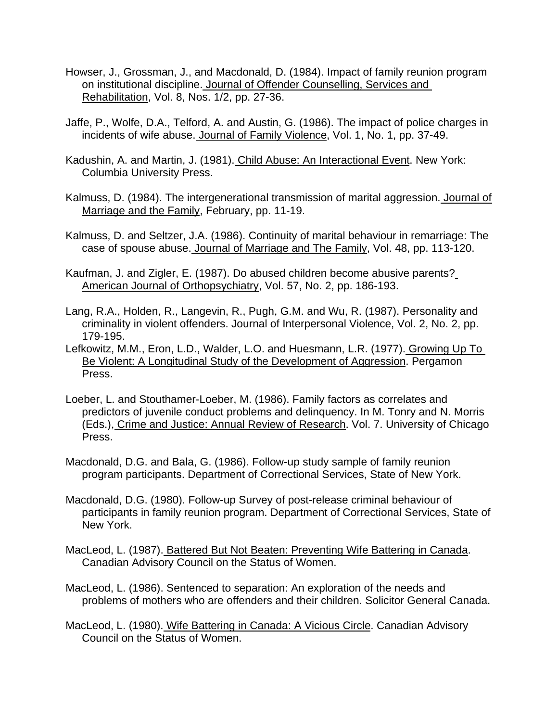- Howser, J., Grossman, J., and Macdonald, D. (1984). Impact of family reunion program on institutional discipline. Journal of Offender Counselling, Services and Rehabilitation, Vol. 8, Nos. 1/2, pp. 27-36.
- Jaffe, P., Wolfe, D.A., Telford, A. and Austin, G. (1986). The impact of police charges in incidents of wife abuse. Journal of Family Violence, Vol. 1, No. 1, pp. 37-49.
- Kadushin, A. and Martin, J. (1981). Child Abuse: An Interactional Event. New York: Columbia University Press.
- Kalmuss, D. (1984). The intergenerational transmission of marital aggression. Journal of Marriage and the Family, February, pp. 11-19.
- Kalmuss, D. and Seltzer, J.A. (1986). Continuity of marital behaviour in remarriage: The case of spouse abuse. Journal of Marriage and The Family, Vol. 48, pp. 113-120.
- Kaufman, J. and Zigler, E. (1987). Do abused children become abusive parents? American Journal of Orthopsychiatry, Vol. 57, No. 2, pp. 186-193.
- Lang, R.A., Holden, R., Langevin, R., Pugh, G.M. and Wu, R. (1987). Personality and criminality in violent offenders. Journal of Interpersonal Violence, Vol. 2, No. 2, pp. 179-195.
- Lefkowitz, M.M., Eron, L.D., Walder, L.O. and Huesmann, L.R. (1977). Growing Up To Be Violent: A Longitudinal Study of the Development of Aggression. Pergamon Press.
- Loeber, L. and Stouthamer-Loeber, M. (1986). Family factors as correlates and predictors of juvenile conduct problems and delinquency. In M. Tonry and N. Morris (Eds.), Crime and Justice: Annual Review of Research. Vol. 7. University of Chicago Press.
- Macdonald, D.G. and Bala, G. (1986). Follow-up study sample of family reunion program participants. Department of Correctional Services, State of New York.
- Macdonald, D.G. (1980). Follow-up Survey of post-release criminal behaviour of participants in family reunion program. Department of Correctional Services, State of New York.
- MacLeod, L. (1987). Battered But Not Beaten: Preventing Wife Battering in Canada. Canadian Advisory Council on the Status of Women.
- MacLeod, L. (1986). Sentenced to separation: An exploration of the needs and problems of mothers who are offenders and their children. Solicitor General Canada.
- MacLeod, L. (1980). Wife Battering in Canada: A Vicious Circle. Canadian Advisory Council on the Status of Women.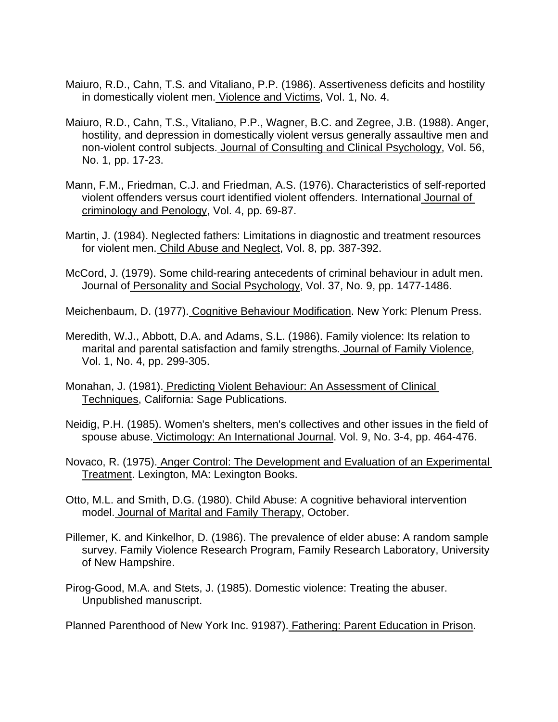- Maiuro, R.D., Cahn, T.S. and Vitaliano, P.P. (1986). Assertiveness deficits and hostility in domestically violent men. Violence and Victims, Vol. 1, No. 4.
- Maiuro, R.D., Cahn, T.S., Vitaliano, P.P., Wagner, B.C. and Zegree, J.B. (1988). Anger, hostility, and depression in domestically violent versus generally assaultive men and non-violent control subjects. Journal of Consulting and Clinical Psychology, Vol. 56, No. 1, pp. 17-23.
- Mann, F.M., Friedman, C.J. and Friedman, A.S. (1976). Characteristics of self-reported violent offenders versus court identified violent offenders. International Journal of criminology and Penology, Vol. 4, pp. 69-87.
- Martin, J. (1984). Neglected fathers: Limitations in diagnostic and treatment resources for violent men. Child Abuse and Neglect, Vol. 8, pp. 387-392.
- McCord, J. (1979). Some child-rearing antecedents of criminal behaviour in adult men. Journal of Personality and Social Psychology, Vol. 37, No. 9, pp. 1477-1486.
- Meichenbaum, D. (1977). Cognitive Behaviour Modification. New York: Plenum Press.
- Meredith, W.J., Abbott, D.A. and Adams, S.L. (1986). Family violence: Its relation to marital and parental satisfaction and family strengths. Journal of Family Violence, Vol. 1, No. 4, pp. 299-305.
- Monahan, J. (1981). Predicting Violent Behaviour: An Assessment of Clinical Techniques, California: Sage Publications.
- Neidig, P.H. (1985). Women's shelters, men's collectives and other issues in the field of spouse abuse. Victimology: An International Journal. Vol. 9, No. 3-4, pp. 464-476.
- Novaco, R. (1975). Anger Control: The Development and Evaluation of an Experimental Treatment. Lexington, MA: Lexington Books.
- Otto, M.L. and Smith, D.G. (1980). Child Abuse: A cognitive behavioral intervention model. Journal of Marital and Family Therapy, October.
- Pillemer, K. and Kinkelhor, D. (1986). The prevalence of elder abuse: A random sample survey. Family Violence Research Program, Family Research Laboratory, University of New Hampshire.
- Pirog-Good, M.A. and Stets, J. (1985). Domestic violence: Treating the abuser. Unpublished manuscript.

Planned Parenthood of New York Inc. 91987). Fathering: Parent Education in Prison.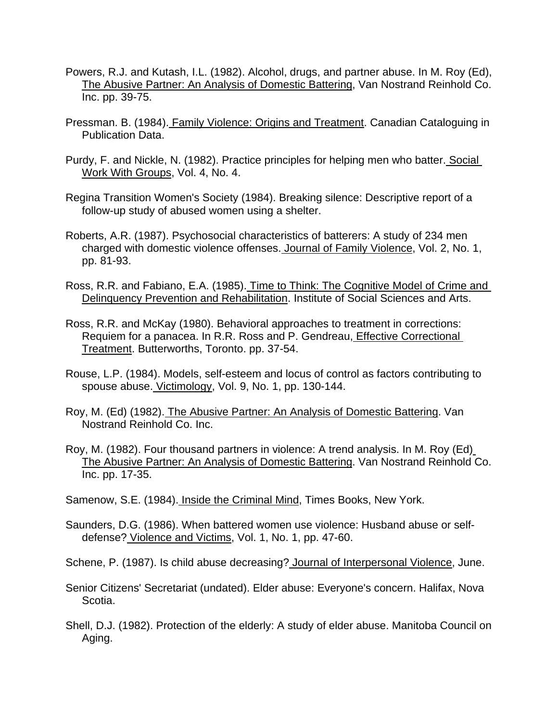- Powers, R.J. and Kutash, I.L. (1982). Alcohol, drugs, and partner abuse. In M. Roy (Ed), The Abusive Partner: An Analysis of Domestic Battering, Van Nostrand Reinhold Co. Inc. pp. 39-75.
- Pressman. B. (1984). Family Violence: Origins and Treatment. Canadian Cataloguing in Publication Data.
- Purdy, F. and Nickle, N. (1982). Practice principles for helping men who batter. Social Work With Groups, Vol. 4, No. 4.
- Regina Transition Women's Society (1984). Breaking silence: Descriptive report of a follow-up study of abused women using a shelter.
- Roberts, A.R. (1987). Psychosocial characteristics of batterers: A study of 234 men charged with domestic violence offenses. Journal of Family Violence, Vol. 2, No. 1, pp. 81-93.
- Ross, R.R. and Fabiano, E.A. (1985). Time to Think: The Cognitive Model of Crime and Delinquency Prevention and Rehabilitation. Institute of Social Sciences and Arts.
- Ross, R.R. and McKay (1980). Behavioral approaches to treatment in corrections: Requiem for a panacea. In R.R. Ross and P. Gendreau, Effective Correctional Treatment. Butterworths, Toronto. pp. 37-54.
- Rouse, L.P. (1984). Models, self-esteem and locus of control as factors contributing to spouse abuse. Victimology, Vol. 9, No. 1, pp. 130-144.
- Roy, M. (Ed) (1982). The Abusive Partner: An Analysis of Domestic Battering. Van Nostrand Reinhold Co. Inc.
- Roy, M. (1982). Four thousand partners in violence: A trend analysis. In M. Roy (Ed) The Abusive Partner: An Analysis of Domestic Battering. Van Nostrand Reinhold Co. Inc. pp. 17-35.
- Samenow, S.E. (1984). Inside the Criminal Mind, Times Books, New York.
- Saunders, D.G. (1986). When battered women use violence: Husband abuse or selfdefense? Violence and Victims, Vol. 1, No. 1, pp. 47-60.

Schene, P. (1987). Is child abuse decreasing? Journal of Interpersonal Violence, June.

- Senior Citizens' Secretariat (undated). Elder abuse: Everyone's concern. Halifax, Nova Scotia.
- Shell, D.J. (1982). Protection of the elderly: A study of elder abuse. Manitoba Council on Aging.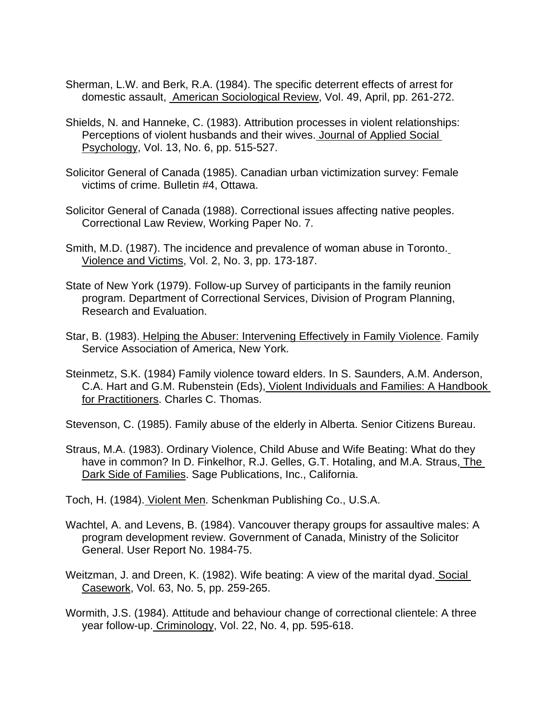- Sherman, L.W. and Berk, R.A. (1984). The specific deterrent effects of arrest for domestic assault, American Sociological Review, Vol. 49, April, pp. 261-272.
- Shields, N. and Hanneke, C. (1983). Attribution processes in violent relationships: Perceptions of violent husbands and their wives. Journal of Applied Social Psychology, Vol. 13, No. 6, pp. 515-527.
- Solicitor General of Canada (1985). Canadian urban victimization survey: Female victims of crime. Bulletin #4, Ottawa.
- Solicitor General of Canada (1988). Correctional issues affecting native peoples. Correctional Law Review, Working Paper No. 7.
- Smith, M.D. (1987). The incidence and prevalence of woman abuse in Toronto. Violence and Victims, Vol. 2, No. 3, pp. 173-187.
- State of New York (1979). Follow-up Survey of participants in the family reunion program. Department of Correctional Services, Division of Program Planning, Research and Evaluation.
- Star, B. (1983). Helping the Abuser: Intervening Effectively in Family Violence. Family Service Association of America, New York.
- Steinmetz, S.K. (1984) Family violence toward elders. In S. Saunders, A.M. Anderson, C.A. Hart and G.M. Rubenstein (Eds), Violent Individuals and Families: A Handbook for Practitioners. Charles C. Thomas.

Stevenson, C. (1985). Family abuse of the elderly in Alberta. Senior Citizens Bureau.

Straus, M.A. (1983). Ordinary Violence, Child Abuse and Wife Beating: What do they have in common? In D. Finkelhor, R.J. Gelles, G.T. Hotaling, and M.A. Straus, The Dark Side of Families. Sage Publications, Inc., California.

Toch, H. (1984). Violent Men. Schenkman Publishing Co., U.S.A.

- Wachtel, A. and Levens, B. (1984). Vancouver therapy groups for assaultive males: A program development review. Government of Canada, Ministry of the Solicitor General. User Report No. 1984-75.
- Weitzman, J. and Dreen, K. (1982). Wife beating: A view of the marital dyad. Social Casework, Vol. 63, No. 5, pp. 259-265.

Wormith, J.S. (1984). Attitude and behaviour change of correctional clientele: A three year follow-up. Criminology, Vol. 22, No. 4, pp. 595-618.